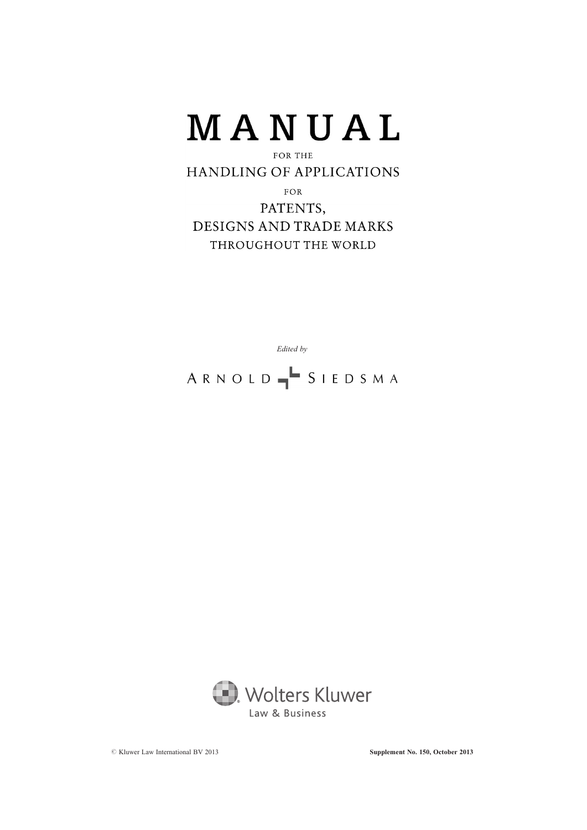

# **HANDLING OF APPLICATIONS**

FOR PATENTS, DESIGNS AND TRADE MARKS THROUGHOUT THE WORLD

Edited by

ARNOLD SIEDSMA

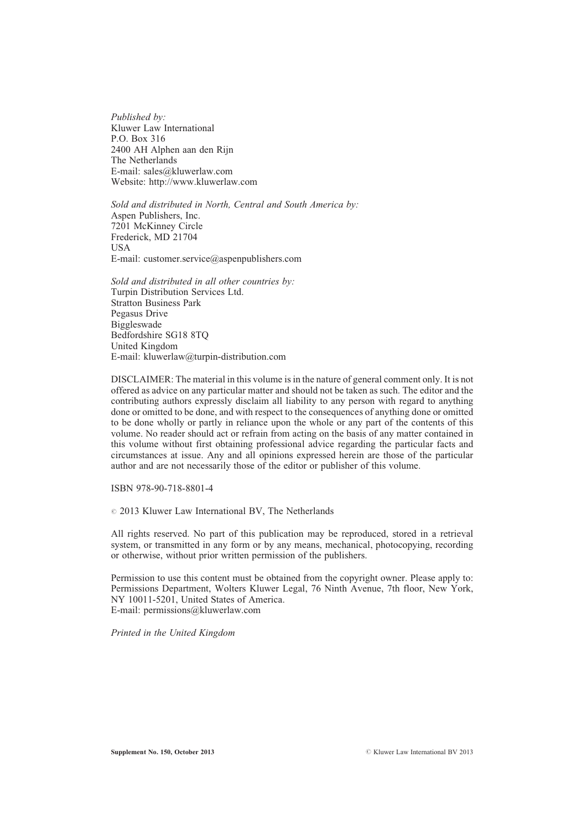Published by: Kluwer Law International P.O. Box 316 2400 AH Alphen aan den Rijn The Netherlands E-mail: sales@kluwerlaw.com Website: http://www.kluwerlaw.com

Sold and distributed in North, Central and South America by: Aspen Publishers, Inc. 7201 McKinney Circle Frederick, MD 21704 **I** IS A E-mail: customer.service@aspenpublishers.com

Sold and distributed in all other countries by: Turpin Distribution Services Ltd. Stratton Business Park Pegasus Drive Biggleswade Bedfordshire SG18 8TQ United Kingdom E-mail: kluwerlaw@turpin-distribution.com

DISCLAIMER: The material in this volume is in the nature of general comment only. It is not offered as advice on any particular matter and should not be taken as such. The editor and the contributing authors expressly disclaim all liability to any person with regard to anything done or omitted to be done, and with respect to the consequences of anything done or omitted to be done wholly or partly in reliance upon the whole or any part of the contents of this volume. No reader should act or refrain from acting on the basis of any matter contained in this volume without first obtaining professional advice regarding the particular facts and circumstances at issue. Any and all opinions expressed herein are those of the particular author and are not necessarily those of the editor or publisher of this volume.

ISBN 978-90-718-8801-4

 $\circ$  2013 Kluwer Law International BV, The Netherlands

All rights reserved. No part of this publication may be reproduced, stored in a retrieval system, or transmitted in any form or by any means, mechanical, photocopying, recording or otherwise, without prior written permission of the publishers.

Permission to use this content must be obtained from the copyright owner. Please apply to: Permissions Department, Wolters Kluwer Legal, 76 Ninth Avenue, 7th floor, New York, NY 10011-5201, United States of America. E-mail: permissions@kluwerlaw.com

Printed in the United Kingdom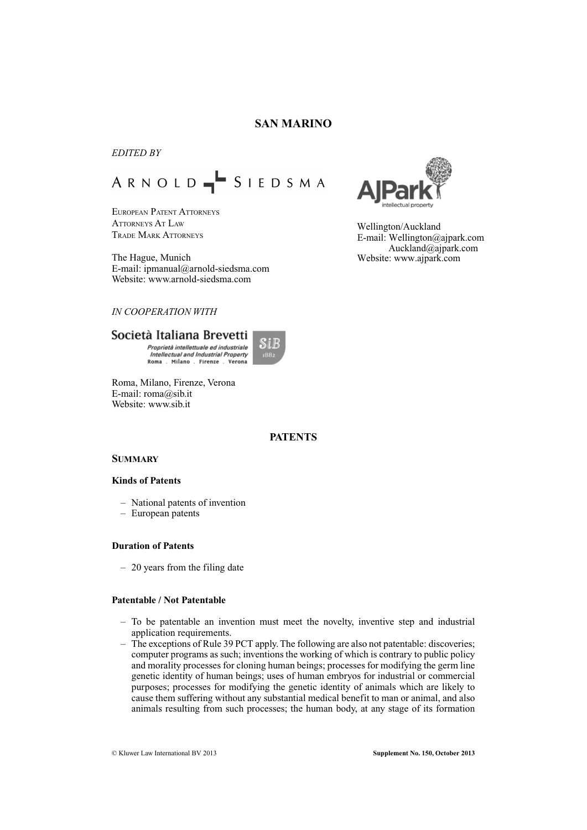# **SAN MARINO**

# *EDITED BY*

# ARNOLD SIEDSMA

EUROPEAN PATENT ATTORNEYS ATTORNEYS AT LAW TRADE MARK ATTORNEYS

The Hague, Munich E-mail: ipmanual@arnold-siedsma.com Website: www.arnold-siedsma.com

# *IN COOPERATION WITH*

# Società Italiana Brevetti

Proprietà intellettuale ed industriale Intellectual and Industrial Property Roma . Milano . Firenze . Verona



Roma, Milano, Firenze, Verona E-mail: roma@sib.it Website: www.sib.it

# **PATENTS**

# **SUMMARY**

# **Kinds of Patents**

- National patents of invention
- European patents

# **Duration of Patents**

– 20 years from the filing date

### **Patentable / Not Patentable**

- To be patentable an invention must meet the novelty, inventive step and industrial application requirements.
- The exceptions of Rule 39 PCT apply. The following are also not patentable: discoveries; computer programs as such; inventions the working of which is contrary to public policy and morality processes for cloning human beings; processes for modifying the germ line genetic identity of human beings; uses of human embryos for industrial or commercial purposes; processes for modifying the genetic identity of animals which are likely to cause them suffering without any substantial medical benefit to man or animal, and also animals resulting from such processes; the human body, at any stage of its formation



Wellington/Auckland Auckland@ajpark.com E-mail: Wellington@ajpark.com Website: www.ajpark.com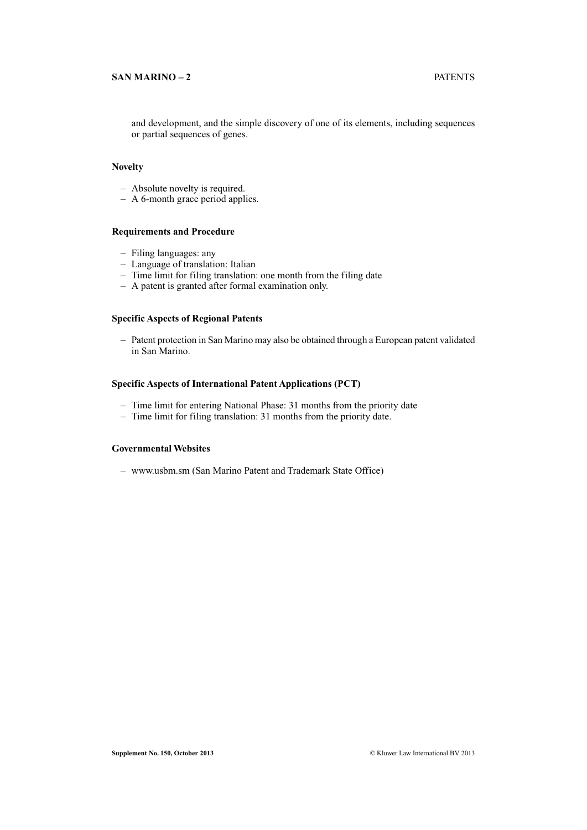# **SAN MARINO – 2** PATENTS

and development, and the simple discovery of one of its elements, including sequences or partial sequences of genes.

# **Novelty**

- Absolute novelty is required.
- A 6-month grace period applies.

# **Requirements and Procedure**

- Filing languages: any
- Language of translation: Italian
- Time limit for filing translation: one month from the filing date
- A patent is granted after formal examination only.

# **Specific Aspects of Regional Patents**

– Patent protection in San Marino may also be obtained through a European patent validated in San Marino.

# **Specific Aspects of International Patent Applications (PCT)**

- Time limit for entering National Phase: 31 months from the priority date
- Time limit for filing translation: 31 months from the priority date.

# **Governmental Websites**

– www.usbm.sm (San Marino Patent and Trademark State Office)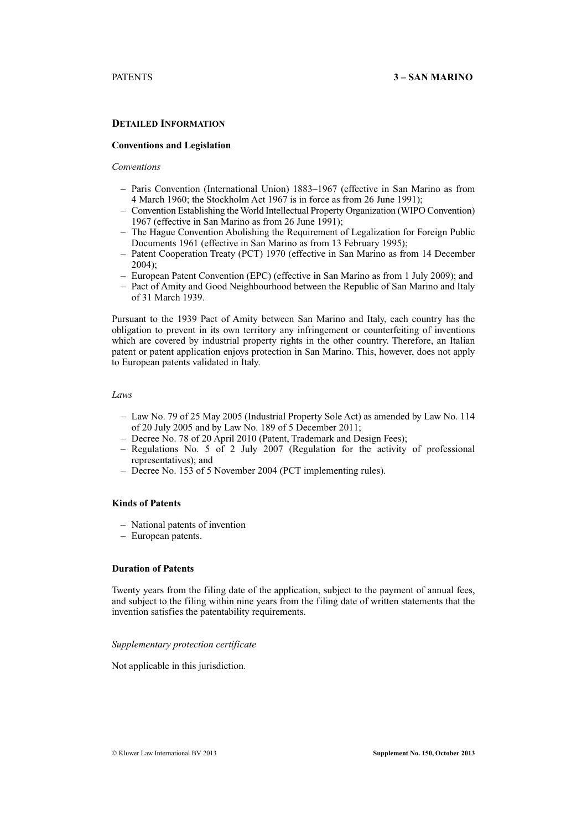# **DETAILED INFORMATION**

### **Conventions and Legislation**

# *Conventions*

- Paris Convention (International Union) 1883–1967 (effective in San Marino as from 4 March 1960; the Stockholm Act 1967 is in force as from 26 June 1991);
- Convention Establishing the World Intellectual Property Organization (WIPO Convention) 1967 (effective in San Marino as from 26 June 1991);
- The Hague Convention Abolishing the Requirement of Legalization for Foreign Public Documents 1961 (effective in San Marino as from 13 February 1995);
- Patent Cooperation Treaty (PCT) 1970 (effective in San Marino as from 14 December 2004);
- European Patent Convention (EPC) (effective in San Marino as from 1 July 2009); and
- Pact of Amity and Good Neighbourhood between the Republic of San Marino and Italy of 31 March 1939.

Pursuant to the 1939 Pact of Amity between San Marino and Italy, each country has the obligation to prevent in its own territory any infringement or counterfeiting of inventions which are covered by industrial property rights in the other country. Therefore, an Italian patent or patent application enjoys protection in San Marino. This, however, does not apply to European patents validated in Italy.

#### *Laws*

- Law No. 79 of 25 May 2005 (Industrial Property Sole Act) as amended by Law No. 114 of 20 July 2005 and by Law No. 189 of 5 December 2011;
- Decree No. 78 of 20 April 2010 (Patent, Trademark and Design Fees);
- Regulations No. 5 of 2 July 2007 (Regulation for the activity of professional representatives); and
- Decree No. 153 of 5 November 2004 (PCT implementing rules).

# **Kinds of Patents**

- National patents of invention
- European patents.

# **Duration of Patents**

Twenty years from the filing date of the application, subject to the payment of annual fees, and subject to the filing within nine years from the filing date of written statements that the invention satisfies the patentability requirements.

#### *Supplementary protection certificate*

Not applicable in this jurisdiction.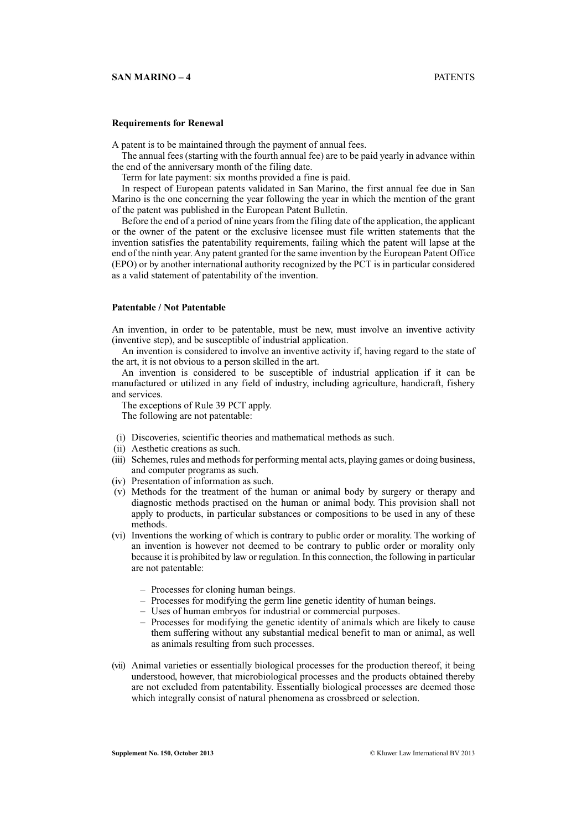# **Requirements for Renewal**

A patent is to be maintained through the payment of annual fees.

The annual fees (starting with the fourth annual fee) are to be paid yearly in advance within the end of the anniversary month of the filing date.

Term for late payment: six months provided a fine is paid.

In respect of European patents validated in San Marino, the first annual fee due in San Marino is the one concerning the year following the year in which the mention of the grant of the patent was published in the European Patent Bulletin.

Before the end of a period of nine years from the filing date of the application, the applicant or the owner of the patent or the exclusive licensee must file written statements that the invention satisfies the patentability requirements, failing which the patent will lapse at the end of the ninth year. Any patent granted for the same invention by the European Patent Office (EPO) or by another international authority recognized by the PCT is in particular considered as a valid statement of patentability of the invention.

# **Patentable / Not Patentable**

An invention, in order to be patentable, must be new, must involve an inventive activity (inventive step), and be susceptible of industrial application.

An invention is considered to involve an inventive activity if, having regard to the state of the art, it is not obvious to a person skilled in the art.

An invention is considered to be susceptible of industrial application if it can be manufactured or utilized in any field of industry, including agriculture, handicraft, fishery and services.

The exceptions of Rule 39 PCT apply.

The following are not patentable:

- (i) Discoveries, scientific theories and mathematical methods as such.
- (ii) Aesthetic creations as such.
- (iii) Schemes, rules and methods for performing mental acts, playing games or doing business, and computer programs as such.
- (iv) Presentation of information as such.
- (v) Methods for the treatment of the human or animal body by surgery or therapy and diagnostic methods practised on the human or animal body. This provision shall not apply to products, in particular substances or compositions to be used in any of these methods.
- (vi) Inventions the working of which is contrary to public order or morality. The working of an invention is however not deemed to be contrary to public order or morality only because it is prohibited by law or regulation. In this connection, the following in particular are not patentable:
	- Processes for cloning human beings.
	- Processes for modifying the germ line genetic identity of human beings.
	- Uses of human embryos for industrial or commercial purposes.
	- Processes for modifying the genetic identity of animals which are likely to cause them suffering without any substantial medical benefit to man or animal, as well as animals resulting from such processes.
- (vii) Animal varieties or essentially biological processes for the production thereof, it being understood, however, that microbiological processes and the products obtained thereby are not excluded from patentability. Essentially biological processes are deemed those which integrally consist of natural phenomena as crossbreed or selection.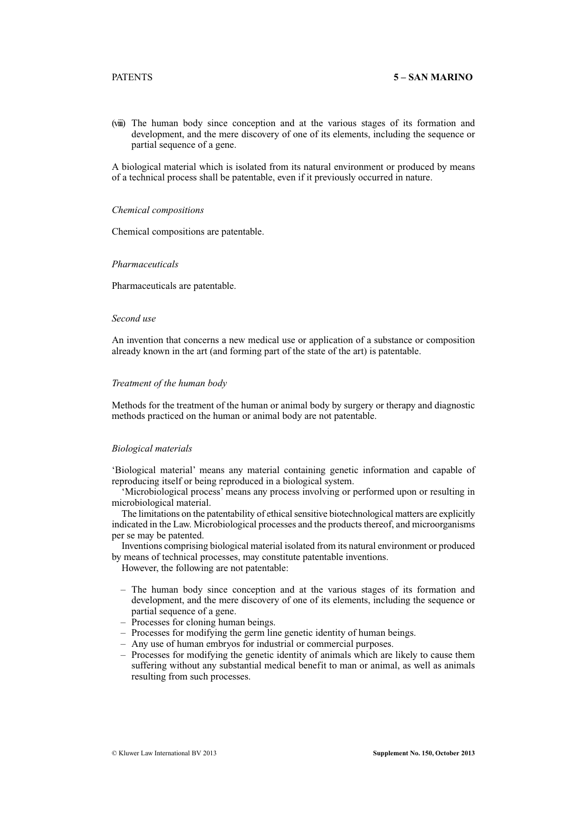(viii) The human body since conception and at the various stages of its formation and development, and the mere discovery of one of its elements, including the sequence or partial sequence of a gene.

A biological material which is isolated from its natural environment or produced by means of a technical process shall be patentable, even if it previously occurred in nature.

#### *Chemical compositions*

Chemical compositions are patentable.

#### *Pharmaceuticals*

Pharmaceuticals are patentable.

# *Second use*

An invention that concerns a new medical use or application of a substance or composition already known in the art (and forming part of the state of the art) is patentable.

#### *Treatment of the human body*

Methods for the treatment of the human or animal body by surgery or therapy and diagnostic methods practiced on the human or animal body are not patentable.

# *Biological materials*

'Biological material' means any material containing genetic information and capable of reproducing itself or being reproduced in a biological system.

'Microbiological process' means any process involving or performed upon or resulting in microbiological material.

The limitations on the patentability of ethical sensitive biotechnological matters are explicitly indicated in the Law. Microbiological processes and the products thereof, and microorganisms per se may be patented.

Inventions comprising biological material isolated from its natural environment or produced by means of technical processes, may constitute patentable inventions.

However, the following are not patentable:

- The human body since conception and at the various stages of its formation and development, and the mere discovery of one of its elements, including the sequence or partial sequence of a gene.
- Processes for cloning human beings.
- Processes for modifying the germ line genetic identity of human beings.
- Any use of human embryos for industrial or commercial purposes.
- Processes for modifying the genetic identity of animals which are likely to cause them suffering without any substantial medical benefit to man or animal, as well as animals resulting from such processes.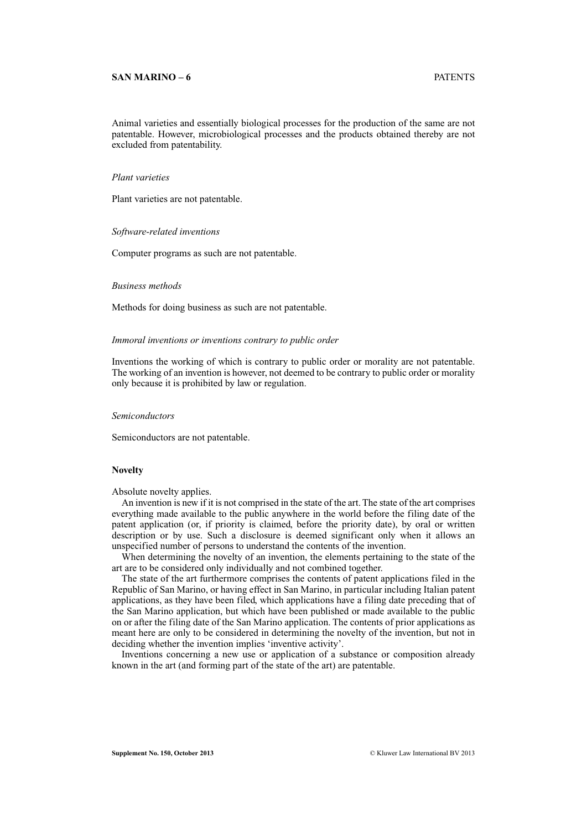#### **SAN MARINO – 6** PATENTS

Animal varieties and essentially biological processes for the production of the same are not patentable. However, microbiological processes and the products obtained thereby are not excluded from patentability.

# *Plant varieties*

Plant varieties are not patentable.

#### *Software-related inventions*

Computer programs as such are not patentable.

#### *Business methods*

Methods for doing business as such are not patentable.

#### *Immoral inventions or inventions contrary to public order*

Inventions the working of which is contrary to public order or morality are not patentable. The working of an invention is however, not deemed to be contrary to public order or morality only because it is prohibited by law or regulation.

# *Semiconductors*

Semiconductors are not patentable.

# **Novelty**

Absolute novelty applies.

An invention is new if it is not comprised in the state of the art. The state of the art comprises everything made available to the public anywhere in the world before the filing date of the patent application (or, if priority is claimed, before the priority date), by oral or written description or by use. Such a disclosure is deemed significant only when it allows an unspecified number of persons to understand the contents of the invention.

When determining the novelty of an invention, the elements pertaining to the state of the art are to be considered only individually and not combined together.

The state of the art furthermore comprises the contents of patent applications filed in the Republic of San Marino, or having effect in San Marino, in particular including Italian patent applications, as they have been filed, which applications have a filing date preceding that of the San Marino application, but which have been published or made available to the public on or after the filing date of the San Marino application. The contents of prior applications as meant here are only to be considered in determining the novelty of the invention, but not in deciding whether the invention implies 'inventive activity'.

Inventions concerning a new use or application of a substance or composition already known in the art (and forming part of the state of the art) are patentable.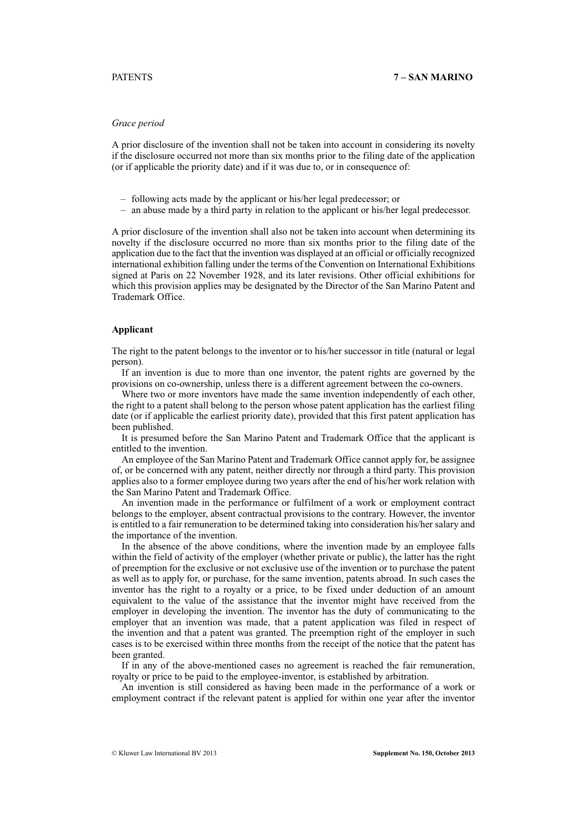# *Grace period*

A prior disclosure of the invention shall not be taken into account in considering its novelty if the disclosure occurred not more than six months prior to the filing date of the application (or if applicable the priority date) and if it was due to, or in consequence of:

- following acts made by the applicant or his/her legal predecessor; or
- an abuse made by a third party in relation to the applicant or his/her legal predecessor.

A prior disclosure of the invention shall also not be taken into account when determining its novelty if the disclosure occurred no more than six months prior to the filing date of the application due to the fact that the invention was displayed at an official or officially recognized international exhibition falling under the terms of the Convention on International Exhibitions signed at Paris on 22 November 1928, and its later revisions. Other official exhibitions for which this provision applies may be designated by the Director of the San Marino Patent and Trademark Office.

# **Applicant**

The right to the patent belongs to the inventor or to his/her successor in title (natural or legal person).

If an invention is due to more than one inventor, the patent rights are governed by the provisions on co-ownership, unless there is a different agreement between the co-owners.

Where two or more inventors have made the same invention independently of each other, the right to a patent shall belong to the person whose patent application has the earliest filing date (or if applicable the earliest priority date), provided that this first patent application has been published.

It is presumed before the San Marino Patent and Trademark Office that the applicant is entitled to the invention.

An employee of the San Marino Patent and Trademark Office cannot apply for, be assignee of, or be concerned with any patent, neither directly nor through a third party. This provision applies also to a former employee during two years after the end of his/her work relation with the San Marino Patent and Trademark Office.

An invention made in the performance or fulfilment of a work or employment contract belongs to the employer, absent contractual provisions to the contrary. However, the inventor is entitled to a fair remuneration to be determined taking into consideration his/her salary and the importance of the invention.

In the absence of the above conditions, where the invention made by an employee falls within the field of activity of the employer (whether private or public), the latter has the right of preemption for the exclusive or not exclusive use of the invention or to purchase the patent as well as to apply for, or purchase, for the same invention, patents abroad. In such cases the inventor has the right to a royalty or a price, to be fixed under deduction of an amount equivalent to the value of the assistance that the inventor might have received from the employer in developing the invention. The inventor has the duty of communicating to the employer that an invention was made, that a patent application was filed in respect of the invention and that a patent was granted. The preemption right of the employer in such cases is to be exercised within three months from the receipt of the notice that the patent has been granted.

If in any of the above-mentioned cases no agreement is reached the fair remuneration, royalty or price to be paid to the employee-inventor, is established by arbitration.

An invention is still considered as having been made in the performance of a work or employment contract if the relevant patent is applied for within one year after the inventor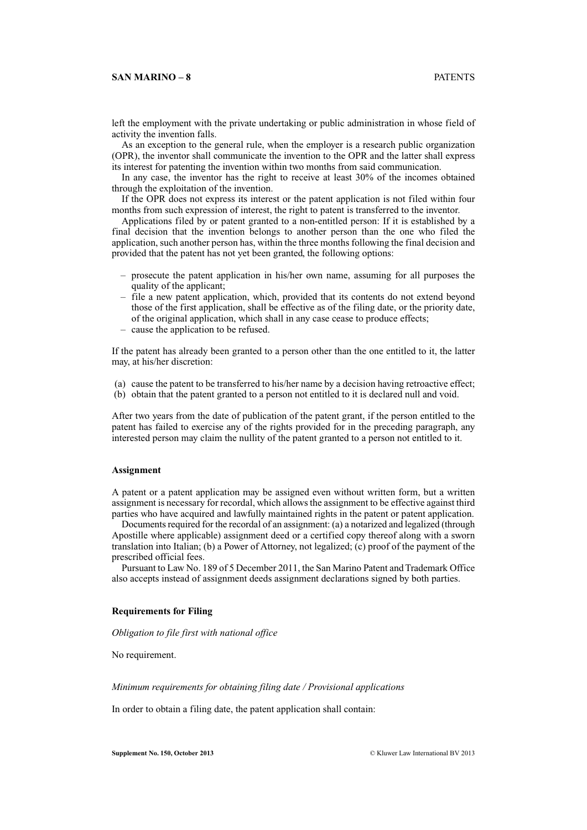# **SAN MARINO – 8** PATENTS

left the employment with the private undertaking or public administration in whose field of activity the invention falls.

As an exception to the general rule, when the employer is a research public organization (OPR), the inventor shall communicate the invention to the OPR and the latter shall express its interest for patenting the invention within two months from said communication.

In any case, the inventor has the right to receive at least 30% of the incomes obtained through the exploitation of the invention.

If the OPR does not express its interest or the patent application is not filed within four months from such expression of interest, the right to patent is transferred to the inventor.

Applications filed by or patent granted to a non-entitled person: If it is established by a final decision that the invention belongs to another person than the one who filed the application, such another person has, within the three months following the final decision and provided that the patent has not yet been granted, the following options:

- prosecute the patent application in his/her own name, assuming for all purposes the quality of the applicant;
- file a new patent application, which, provided that its contents do not extend beyond those of the first application, shall be effective as of the filing date, or the priority date, of the original application, which shall in any case cease to produce effects;
- cause the application to be refused.

If the patent has already been granted to a person other than the one entitled to it, the latter may, at his/her discretion:

- (a) cause the patent to be transferred to his/her name by a decision having retroactive effect;
- (b) obtain that the patent granted to a person not entitled to it is declared null and void.

After two years from the date of publication of the patent grant, if the person entitled to the patent has failed to exercise any of the rights provided for in the preceding paragraph, any interested person may claim the nullity of the patent granted to a person not entitled to it.

# **Assignment**

A patent or a patent application may be assigned even without written form, but a written assignment is necessary for recordal, which allows the assignment to be effective against third parties who have acquired and lawfully maintained rights in the patent or patent application.

Documents required for the recordal of an assignment: (a) a notarized and legalized (through Apostille where applicable) assignment deed or a certified copy thereof along with a sworn translation into Italian; (b) a Power of Attorney, not legalized; (c) proof of the payment of the prescribed official fees.

Pursuant to Law No. 189 of 5 December 2011, the San Marino Patent and Trademark Office also accepts instead of assignment deeds assignment declarations signed by both parties.

#### **Requirements for Filing**

*Obligation to file first with national office*

No requirement.

*Minimum requirements for obtaining filing date / Provisional applications*

In order to obtain a filing date, the patent application shall contain: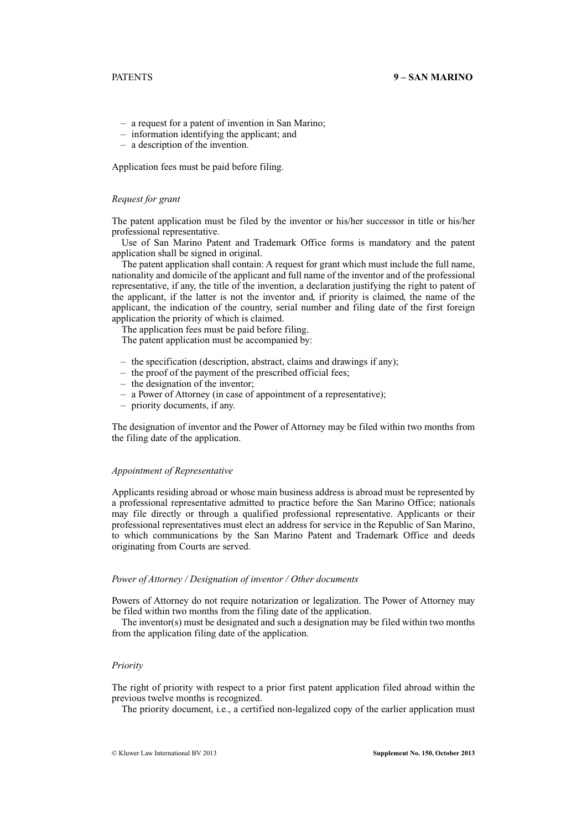- a request for a patent of invention in San Marino;
- information identifying the applicant; and
- a description of the invention.

Application fees must be paid before filing.

#### *Request for grant*

The patent application must be filed by the inventor or his/her successor in title or his/her professional representative.

Use of San Marino Patent and Trademark Office forms is mandatory and the patent application shall be signed in original.

The patent application shall contain: A request for grant which must include the full name, nationality and domicile of the applicant and full name of the inventor and of the professional representative, if any, the title of the invention, a declaration justifying the right to patent of the applicant, if the latter is not the inventor and, if priority is claimed, the name of the applicant, the indication of the country, serial number and filing date of the first foreign application the priority of which is claimed.

The application fees must be paid before filing.

The patent application must be accompanied by:

- the specification (description, abstract, claims and drawings if any);
- the proof of the payment of the prescribed official fees;
- the designation of the inventor;
- a Power of Attorney (in case of appointment of a representative);
- priority documents, if any.

The designation of inventor and the Power of Attorney may be filed within two months from the filing date of the application.

#### *Appointment of Representative*

Applicants residing abroad or whose main business address is abroad must be represented by a professional representative admitted to practice before the San Marino Office; nationals may file directly or through a qualified professional representative. Applicants or their professional representatives must elect an address for service in the Republic of San Marino, to which communications by the San Marino Patent and Trademark Office and deeds originating from Courts are served.

### *Power of Attorney / Designation of inventor / Other documents*

Powers of Attorney do not require notarization or legalization. The Power of Attorney may be filed within two months from the filing date of the application.

The inventor(s) must be designated and such a designation may be filed within two months from the application filing date of the application.

#### *Priority*

The right of priority with respect to a prior first patent application filed abroad within the previous twelve months is recognized.

The priority document, i.e., a certified non-legalized copy of the earlier application must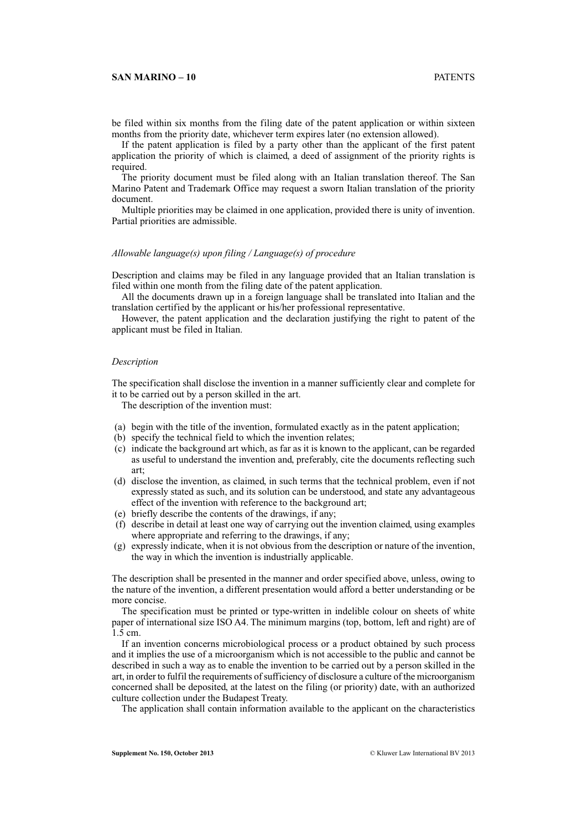# **SAN MARINO – 10** PATENTS

be filed within six months from the filing date of the patent application or within sixteen months from the priority date, whichever term expires later (no extension allowed).

If the patent application is filed by a party other than the applicant of the first patent application the priority of which is claimed, a deed of assignment of the priority rights is required.

The priority document must be filed along with an Italian translation thereof. The San Marino Patent and Trademark Office may request a sworn Italian translation of the priority document.

Multiple priorities may be claimed in one application, provided there is unity of invention. Partial priorities are admissible.

# *Allowable language(s) upon filing / Language(s) of procedure*

Description and claims may be filed in any language provided that an Italian translation is filed within one month from the filing date of the patent application.

All the documents drawn up in a foreign language shall be translated into Italian and the translation certified by the applicant or his/her professional representative.

However, the patent application and the declaration justifying the right to patent of the applicant must be filed in Italian.

#### *Description*

The specification shall disclose the invention in a manner sufficiently clear and complete for it to be carried out by a person skilled in the art.

The description of the invention must:

- (a) begin with the title of the invention, formulated exactly as in the patent application;
- (b) specify the technical field to which the invention relates;
- (c) indicate the background art which, as far as it is known to the applicant, can be regarded as useful to understand the invention and, preferably, cite the documents reflecting such art;
- (d) disclose the invention, as claimed, in such terms that the technical problem, even if not expressly stated as such, and its solution can be understood, and state any advantageous effect of the invention with reference to the background art;
- (e) briefly describe the contents of the drawings, if any;
- (f) describe in detail at least one way of carrying out the invention claimed, using examples where appropriate and referring to the drawings, if any;
- (g) expressly indicate, when it is not obvious from the description or nature of the invention, the way in which the invention is industrially applicable.

The description shall be presented in the manner and order specified above, unless, owing to the nature of the invention, a different presentation would afford a better understanding or be more concise.

The specification must be printed or type-written in indelible colour on sheets of white paper of international size ISO A4. The minimum margins (top, bottom, left and right) are of 1.5 cm.

If an invention concerns microbiological process or a product obtained by such process and it implies the use of a microorganism which is not accessible to the public and cannot be described in such a way as to enable the invention to be carried out by a person skilled in the art, in order to fulfil the requirements of sufficiency of disclosure a culture of the microorganism concerned shall be deposited, at the latest on the filing (or priority) date, with an authorized culture collection under the Budapest Treaty.

The application shall contain information available to the applicant on the characteristics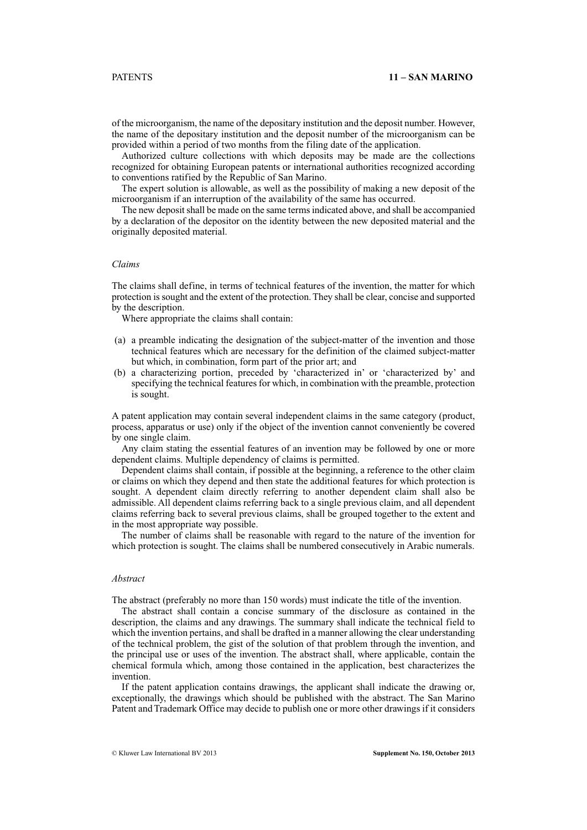of the microorganism, the name of the depositary institution and the deposit number. However, the name of the depositary institution and the deposit number of the microorganism can be provided within a period of two months from the filing date of the application.

Authorized culture collections with which deposits may be made are the collections recognized for obtaining European patents or international authorities recognized according to conventions ratified by the Republic of San Marino.

The expert solution is allowable, as well as the possibility of making a new deposit of the microorganism if an interruption of the availability of the same has occurred.

The new deposit shall be made on the same terms indicated above, and shall be accompanied by a declaration of the depositor on the identity between the new deposited material and the originally deposited material.

#### *Claims*

The claims shall define, in terms of technical features of the invention, the matter for which protection is sought and the extent of the protection. They shall be clear, concise and supported by the description.

Where appropriate the claims shall contain:

- (a) a preamble indicating the designation of the subject-matter of the invention and those technical features which are necessary for the definition of the claimed subject-matter but which, in combination, form part of the prior art; and
- (b) a characterizing portion, preceded by 'characterized in' or 'characterized by' and specifying the technical features for which, in combination with the preamble, protection is sought.

A patent application may contain several independent claims in the same category (product, process, apparatus or use) only if the object of the invention cannot conveniently be covered by one single claim.

Any claim stating the essential features of an invention may be followed by one or more dependent claims. Multiple dependency of claims is permitted.

Dependent claims shall contain, if possible at the beginning, a reference to the other claim or claims on which they depend and then state the additional features for which protection is sought. A dependent claim directly referring to another dependent claim shall also be admissible. All dependent claims referring back to a single previous claim, and all dependent claims referring back to several previous claims, shall be grouped together to the extent and in the most appropriate way possible.

The number of claims shall be reasonable with regard to the nature of the invention for which protection is sought. The claims shall be numbered consecutively in Arabic numerals.

#### *Abstract*

The abstract (preferably no more than 150 words) must indicate the title of the invention.

The abstract shall contain a concise summary of the disclosure as contained in the description, the claims and any drawings. The summary shall indicate the technical field to which the invention pertains, and shall be drafted in a manner allowing the clear understanding of the technical problem, the gist of the solution of that problem through the invention, and the principal use or uses of the invention. The abstract shall, where applicable, contain the chemical formula which, among those contained in the application, best characterizes the invention.

If the patent application contains drawings, the applicant shall indicate the drawing or, exceptionally, the drawings which should be published with the abstract. The San Marino Patent and Trademark Office may decide to publish one or more other drawings if it considers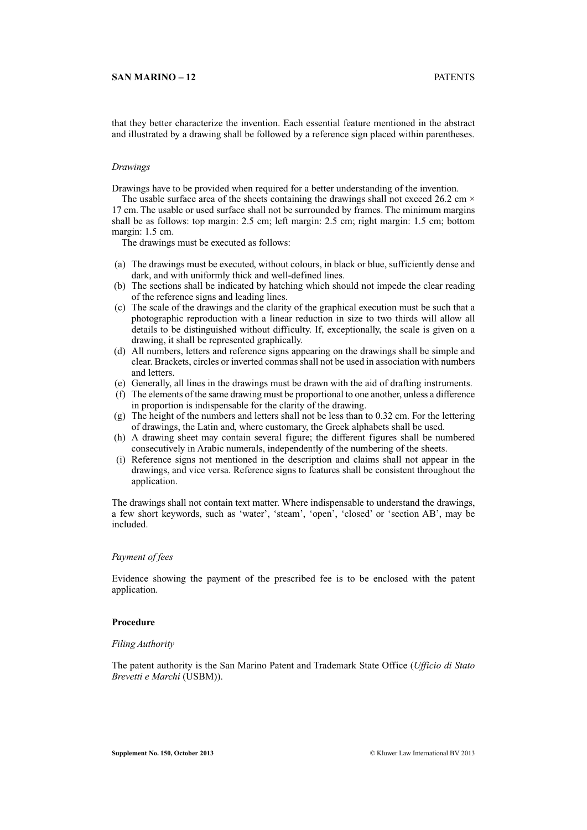# **SAN MARINO – 12** PATENTS

that they better characterize the invention. Each essential feature mentioned in the abstract and illustrated by a drawing shall be followed by a reference sign placed within parentheses.

#### *Drawings*

Drawings have to be provided when required for a better understanding of the invention.

The usable surface area of the sheets containing the drawings shall not exceed 26.2 cm  $\times$ 17 cm. The usable or used surface shall not be surrounded by frames. The minimum margins shall be as follows: top margin: 2.5 cm; left margin: 2.5 cm; right margin: 1.5 cm; bottom margin: 1.5 cm.

The drawings must be executed as follows:

- (a) The drawings must be executed, without colours, in black or blue, sufficiently dense and dark, and with uniformly thick and well-defined lines.
- (b) The sections shall be indicated by hatching which should not impede the clear reading of the reference signs and leading lines.
- (c) The scale of the drawings and the clarity of the graphical execution must be such that a photographic reproduction with a linear reduction in size to two thirds will allow all details to be distinguished without difficulty. If, exceptionally, the scale is given on a drawing, it shall be represented graphically.
- (d) All numbers, letters and reference signs appearing on the drawings shall be simple and clear. Brackets, circles or inverted commas shall not be used in association with numbers and letters.
- (e) Generally, all lines in the drawings must be drawn with the aid of drafting instruments.
- (f) The elements of the same drawing must be proportional to one another, unless a difference in proportion is indispensable for the clarity of the drawing.
- (g) The height of the numbers and letters shall not be less than to 0.32 cm. For the lettering of drawings, the Latin and, where customary, the Greek alphabets shall be used.
- (h) A drawing sheet may contain several figure; the different figures shall be numbered consecutively in Arabic numerals, independently of the numbering of the sheets.
- (i) Reference signs not mentioned in the description and claims shall not appear in the drawings, and vice versa. Reference signs to features shall be consistent throughout the application.

The drawings shall not contain text matter. Where indispensable to understand the drawings, a few short keywords, such as 'water', 'steam', 'open', 'closed' or 'section AB', may be included.

# *Payment of fees*

Evidence showing the payment of the prescribed fee is to be enclosed with the patent application.

# **Procedure**

#### *Filing Authority*

The patent authority is the San Marino Patent and Trademark State Office (*Ufficio di Stato Brevetti e Marchi* (USBM)).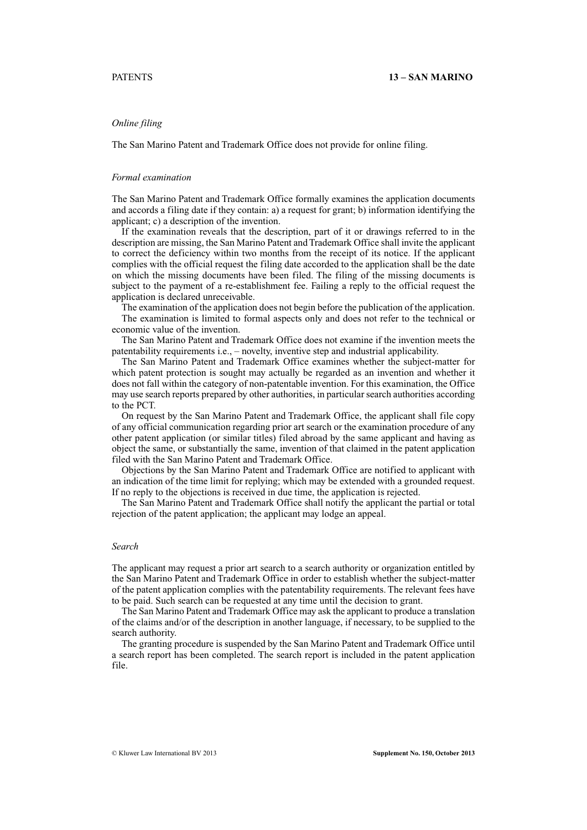# *Online filing*

The San Marino Patent and Trademark Office does not provide for online filing.

# *Formal examination*

The San Marino Patent and Trademark Office formally examines the application documents and accords a filing date if they contain: a) a request for grant; b) information identifying the applicant; c) a description of the invention.

If the examination reveals that the description, part of it or drawings referred to in the description are missing, the San Marino Patent and Trademark Office shall invite the applicant to correct the deficiency within two months from the receipt of its notice. If the applicant complies with the official request the filing date accorded to the application shall be the date on which the missing documents have been filed. The filing of the missing documents is subject to the payment of a re-establishment fee. Failing a reply to the official request the application is declared unreceivable.

The examination of the application does not begin before the publication of the application. The examination is limited to formal aspects only and does not refer to the technical or economic value of the invention.

The San Marino Patent and Trademark Office does not examine if the invention meets the patentability requirements i.e., – novelty, inventive step and industrial applicability.

The San Marino Patent and Trademark Office examines whether the subject-matter for which patent protection is sought may actually be regarded as an invention and whether it does not fall within the category of non-patentable invention. For this examination, the Office may use search reports prepared by other authorities, in particular search authorities according to the PCT.

On request by the San Marino Patent and Trademark Office, the applicant shall file copy of any official communication regarding prior art search or the examination procedure of any other patent application (or similar titles) filed abroad by the same applicant and having as object the same, or substantially the same, invention of that claimed in the patent application filed with the San Marino Patent and Trademark Office.

Objections by the San Marino Patent and Trademark Office are notified to applicant with an indication of the time limit for replying; which may be extended with a grounded request. If no reply to the objections is received in due time, the application is rejected.

The San Marino Patent and Trademark Office shall notify the applicant the partial or total rejection of the patent application; the applicant may lodge an appeal.

# *Search*

The applicant may request a prior art search to a search authority or organization entitled by the San Marino Patent and Trademark Office in order to establish whether the subject-matter of the patent application complies with the patentability requirements. The relevant fees have to be paid. Such search can be requested at any time until the decision to grant.

The San Marino Patent and Trademark Office may ask the applicant to produce a translation of the claims and/or of the description in another language, if necessary, to be supplied to the search authority.

The granting procedure is suspended by the San Marino Patent and Trademark Office until a search report has been completed. The search report is included in the patent application file.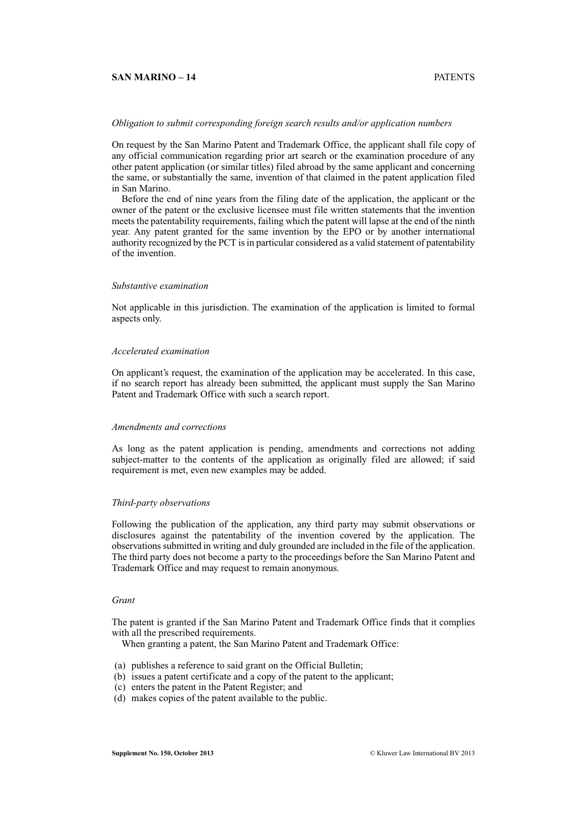#### **SAN MARINO – 14** PATENTS

# *Obligation to submit corresponding foreign search results and/or application numbers*

On request by the San Marino Patent and Trademark Office, the applicant shall file copy of any official communication regarding prior art search or the examination procedure of any other patent application (or similar titles) filed abroad by the same applicant and concerning the same, or substantially the same, invention of that claimed in the patent application filed in San Marino.

Before the end of nine years from the filing date of the application, the applicant or the owner of the patent or the exclusive licensee must file written statements that the invention meets the patentability requirements, failing which the patent will lapse at the end of the ninth year. Any patent granted for the same invention by the EPO or by another international authority recognized by the PCT is in particular considered as a valid statement of patentability of the invention.

# *Substantive examination*

Not applicable in this jurisdiction. The examination of the application is limited to formal aspects only.

#### *Accelerated examination*

On applicant's request, the examination of the application may be accelerated. In this case, if no search report has already been submitted, the applicant must supply the San Marino Patent and Trademark Office with such a search report.

# *Amendments and corrections*

As long as the patent application is pending, amendments and corrections not adding subject-matter to the contents of the application as originally filed are allowed; if said requirement is met, even new examples may be added.

#### *Third-party observations*

Following the publication of the application, any third party may submit observations or disclosures against the patentability of the invention covered by the application. The observations submitted in writing and duly grounded are included in the file of the application. The third party does not become a party to the proceedings before the San Marino Patent and Trademark Office and may request to remain anonymous.

### *Grant*

The patent is granted if the San Marino Patent and Trademark Office finds that it complies with all the prescribed requirements.

When granting a patent, the San Marino Patent and Trademark Office:

- (a) publishes a reference to said grant on the Official Bulletin;
- (b) issues a patent certificate and a copy of the patent to the applicant;
- (c) enters the patent in the Patent Register; and
- (d) makes copies of the patent available to the public.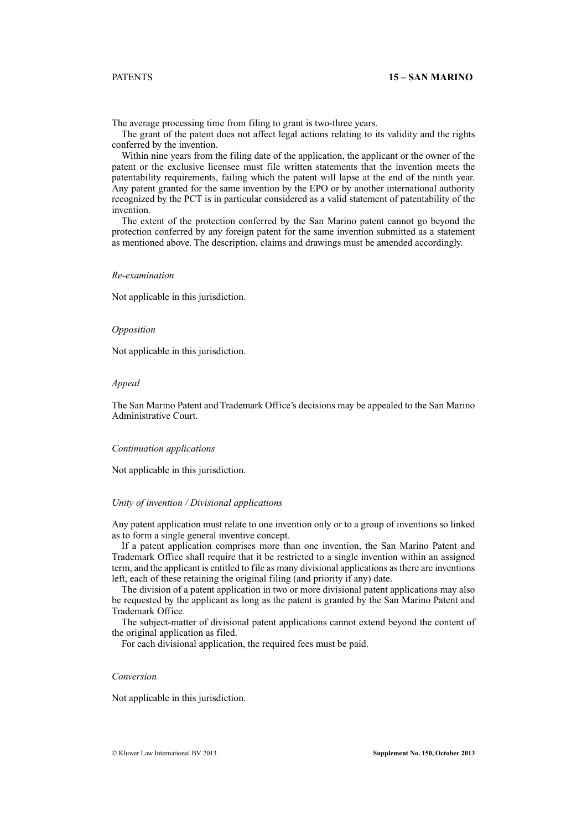The average processing time from filing to grant is two-three years.

The grant of the patent does not affect legal actions relating to its validity and the rights conferred by the invention.

Within nine years from the filing date of the application, the applicant or the owner of the patent or the exclusive licensee must file written statements that the invention meets the patentability requirements, failing which the patent will lapse at the end of the ninth year. Any patent granted for the same invention by the EPO or by another international authority recognized by the PCT is in particular considered as a valid statement of patentability of the invention.

The extent of the protection conferred by the San Marino patent cannot go beyond the protection conferred by any foreign patent for the same invention submitted as a statement as mentioned above. The description, claims and drawings must be amended accordingly.

#### *Re-examination*

Not applicable in this jurisdiction.

### *Opposition*

Not applicable in this jurisdiction.

# *Appeal*

The San Marino Patent and Trademark Office's decisions may be appealed to the San Marino Administrative Court.

# *Continuation applications*

Not applicable in this jurisdiction.

# *Unity of invention / Divisional applications*

Any patent application must relate to one invention only or to a group of inventions so linked as to form a single general inventive concept.

If a patent application comprises more than one invention, the San Marino Patent and Trademark Office shall require that it be restricted to a single invention within an assigned term, and the applicant is entitled to file as many divisional applications as there are inventions left, each of these retaining the original filing (and priority if any) date.

The division of a patent application in two or more divisional patent applications may also be requested by the applicant as long as the patent is granted by the San Marino Patent and Trademark Office.

The subject-matter of divisional patent applications cannot extend beyond the content of the original application as filed.

For each divisional application, the required fees must be paid.

# *Conversion*

Not applicable in this jurisdiction.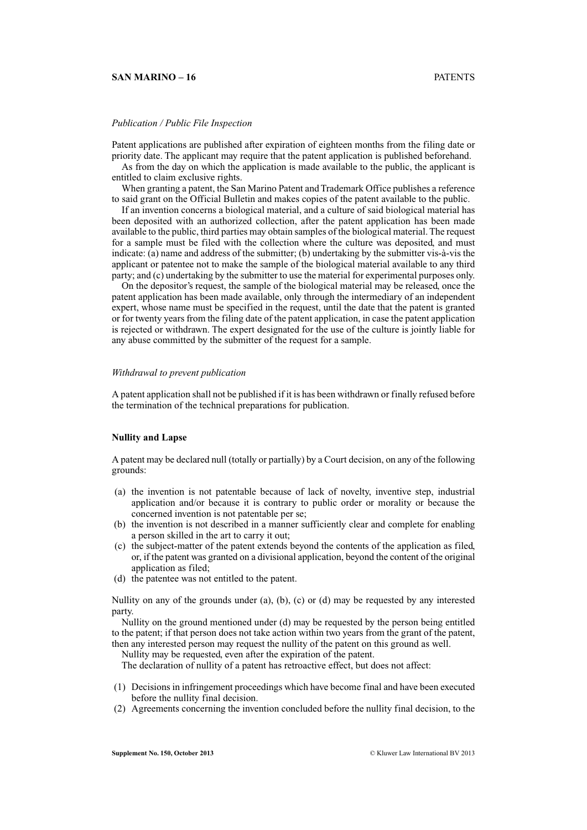# **SAN MARINO – 16** PATENTS

# *Publication / Public File Inspection*

Patent applications are published after expiration of eighteen months from the filing date or priority date. The applicant may require that the patent application is published beforehand.

As from the day on which the application is made available to the public, the applicant is entitled to claim exclusive rights.

When granting a patent, the San Marino Patent and Trademark Office publishes a reference to said grant on the Official Bulletin and makes copies of the patent available to the public.

If an invention concerns a biological material, and a culture of said biological material has been deposited with an authorized collection, after the patent application has been made available to the public, third parties may obtain samples of the biological material. The request for a sample must be filed with the collection where the culture was deposited, and must indicate: (a) name and address of the submitter; (b) undertaking by the submitter vis-à-vis the applicant or patentee not to make the sample of the biological material available to any third party; and (c) undertaking by the submitter to use the material for experimental purposes only.

On the depositor's request, the sample of the biological material may be released, once the patent application has been made available, only through the intermediary of an independent expert, whose name must be specified in the request, until the date that the patent is granted or for twenty years from the filing date of the patent application, in case the patent application is rejected or withdrawn. The expert designated for the use of the culture is jointly liable for any abuse committed by the submitter of the request for a sample.

#### *Withdrawal to prevent publication*

A patent application shall not be published if it is has been withdrawn or finally refused before the termination of the technical preparations for publication.

# **Nullity and Lapse**

A patent may be declared null (totally or partially) by a Court decision, on any of the following grounds:

- (a) the invention is not patentable because of lack of novelty, inventive step, industrial application and/or because it is contrary to public order or morality or because the concerned invention is not patentable per se;
- (b) the invention is not described in a manner sufficiently clear and complete for enabling a person skilled in the art to carry it out;
- (c) the subject-matter of the patent extends beyond the contents of the application as filed, or, if the patent was granted on a divisional application, beyond the content of the original application as filed;
- (d) the patentee was not entitled to the patent.

Nullity on any of the grounds under (a), (b), (c) or (d) may be requested by any interested party.

Nullity on the ground mentioned under (d) may be requested by the person being entitled to the patent; if that person does not take action within two years from the grant of the patent, then any interested person may request the nullity of the patent on this ground as well.

Nullity may be requested, even after the expiration of the patent.

The declaration of nullity of a patent has retroactive effect, but does not affect:

- (1) Decisions in infringement proceedings which have become final and have been executed before the nullity final decision.
- (2) Agreements concerning the invention concluded before the nullity final decision, to the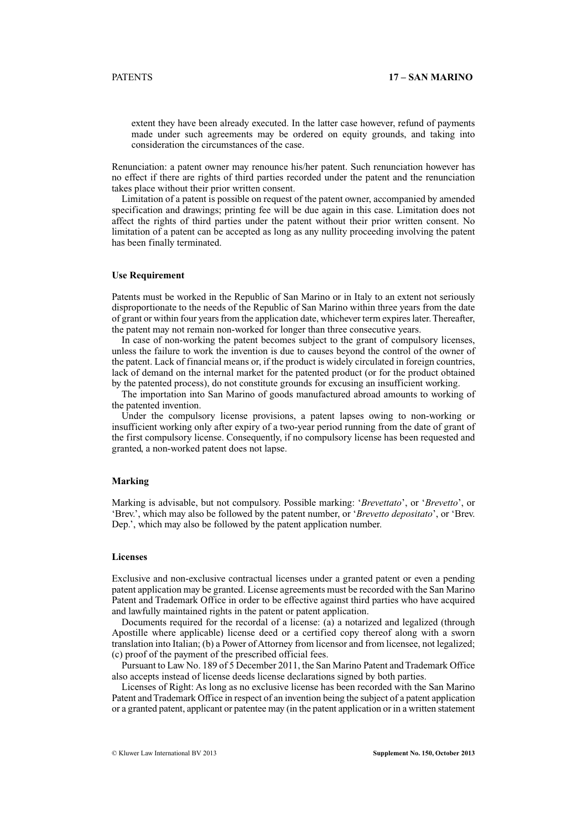extent they have been already executed. In the latter case however, refund of payments made under such agreements may be ordered on equity grounds, and taking into consideration the circumstances of the case.

Renunciation: a patent owner may renounce his/her patent. Such renunciation however has no effect if there are rights of third parties recorded under the patent and the renunciation takes place without their prior written consent.

Limitation of a patent is possible on request of the patent owner, accompanied by amended specification and drawings; printing fee will be due again in this case. Limitation does not affect the rights of third parties under the patent without their prior written consent. No limitation of a patent can be accepted as long as any nullity proceeding involving the patent has been finally terminated.

### **Use Requirement**

Patents must be worked in the Republic of San Marino or in Italy to an extent not seriously disproportionate to the needs of the Republic of San Marino within three years from the date of grant or within four years from the application date, whichever term expires later. Thereafter, the patent may not remain non-worked for longer than three consecutive years.

In case of non-working the patent becomes subject to the grant of compulsory licenses, unless the failure to work the invention is due to causes beyond the control of the owner of the patent. Lack of financial means or, if the product is widely circulated in foreign countries, lack of demand on the internal market for the patented product (or for the product obtained by the patented process), do not constitute grounds for excusing an insufficient working.

The importation into San Marino of goods manufactured abroad amounts to working of the patented invention.

Under the compulsory license provisions, a patent lapses owing to non-working or insufficient working only after expiry of a two-year period running from the date of grant of the first compulsory license. Consequently, if no compulsory license has been requested and granted, a non-worked patent does not lapse.

# **Marking**

Marking is advisable, but not compulsory. Possible marking: '*Brevettato*', or '*Brevetto*', or 'Brev.', which may also be followed by the patent number, or '*Brevetto depositato*', or 'Brev. Dep.', which may also be followed by the patent application number.

# **Licenses**

Exclusive and non-exclusive contractual licenses under a granted patent or even a pending patent application may be granted. License agreements must be recorded with the San Marino Patent and Trademark Office in order to be effective against third parties who have acquired and lawfully maintained rights in the patent or patent application.

Documents required for the recordal of a license: (a) a notarized and legalized (through Apostille where applicable) license deed or a certified copy thereof along with a sworn translation into Italian; (b) a Power of Attorney from licensor and from licensee, not legalized; (c) proof of the payment of the prescribed official fees.

Pursuant to Law No. 189 of 5 December 2011, the San Marino Patent and Trademark Office also accepts instead of license deeds license declarations signed by both parties.

Licenses of Right: As long as no exclusive license has been recorded with the San Marino Patent and Trademark Office in respect of an invention being the subject of a patent application or a granted patent, applicant or patentee may (in the patent application or in a written statement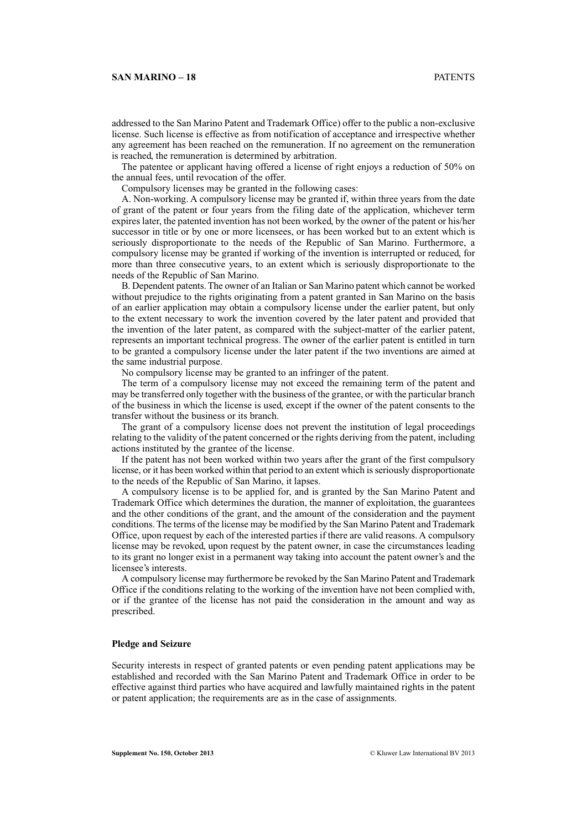addressed to the San Marino Patent and Trademark Office) offer to the public a non-exclusive license. Such license is effective as from notification of acceptance and irrespective whether any agreement has been reached on the remuneration. If no agreement on the remuneration is reached, the remuneration is determined by arbitration.

The patentee or applicant having offered a license of right enjoys a reduction of 50% on the annual fees, until revocation of the offer.

Compulsory licenses may be granted in the following cases:

A. Non-working. A compulsory license may be granted if, within three years from the date of grant of the patent or four years from the filing date of the application, whichever term expires later, the patented invention has not been worked, by the owner of the patent or his/her successor in title or by one or more licensees, or has been worked but to an extent which is seriously disproportionate to the needs of the Republic of San Marino. Furthermore, a compulsory license may be granted if working of the invention is interrupted or reduced, for more than three consecutive years, to an extent which is seriously disproportionate to the needs of the Republic of San Marino.

B. Dependent patents. The owner of an Italian or San Marino patent which cannot be worked without prejudice to the rights originating from a patent granted in San Marino on the basis of an earlier application may obtain a compulsory license under the earlier patent, but only to the extent necessary to work the invention covered by the later patent and provided that the invention of the later patent, as compared with the subject-matter of the earlier patent, represents an important technical progress. The owner of the earlier patent is entitled in turn to be granted a compulsory license under the later patent if the two inventions are aimed at the same industrial purpose.

No compulsory license may be granted to an infringer of the patent.

The term of a compulsory license may not exceed the remaining term of the patent and may be transferred only together with the business of the grantee, or with the particular branch of the business in which the license is used, except if the owner of the patent consents to the transfer without the business or its branch.

The grant of a compulsory license does not prevent the institution of legal proceedings relating to the validity of the patent concerned or the rights deriving from the patent, including actions instituted by the grantee of the license.

If the patent has not been worked within two years after the grant of the first compulsory license, or it has been worked within that period to an extent which is seriously disproportionate to the needs of the Republic of San Marino, it lapses.

A compulsory license is to be applied for, and is granted by the San Marino Patent and Trademark Office which determines the duration, the manner of exploitation, the guarantees and the other conditions of the grant, and the amount of the consideration and the payment conditions. The terms of the license may be modified by the San Marino Patent and Trademark Office, upon request by each of the interested parties if there are valid reasons. A compulsory license may be revoked, upon request by the patent owner, in case the circumstances leading to its grant no longer exist in a permanent way taking into account the patent owner's and the licensee's interests.

A compulsory license may furthermore be revoked by the San Marino Patent and Trademark Office if the conditions relating to the working of the invention have not been complied with, or if the grantee of the license has not paid the consideration in the amount and way as prescribed.

#### **Pledge and Seizure**

Security interests in respect of granted patents or even pending patent applications may be established and recorded with the San Marino Patent and Trademark Office in order to be effective against third parties who have acquired and lawfully maintained rights in the patent or patent application; the requirements are as in the case of assignments.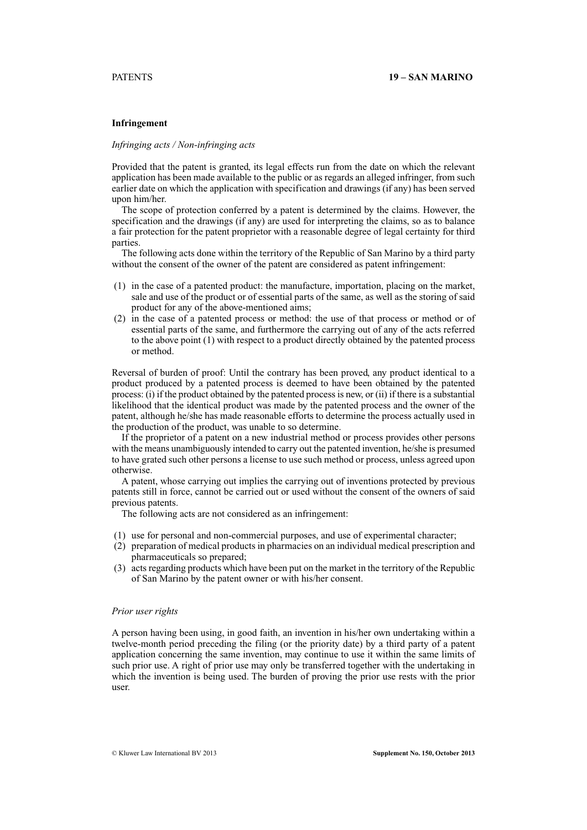# **Infringement**

#### *Infringing acts / Non-infringing acts*

Provided that the patent is granted, its legal effects run from the date on which the relevant application has been made available to the public or as regards an alleged infringer, from such earlier date on which the application with specification and drawings (if any) has been served upon him/her.

The scope of protection conferred by a patent is determined by the claims. However, the specification and the drawings (if any) are used for interpreting the claims, so as to balance a fair protection for the patent proprietor with a reasonable degree of legal certainty for third parties.

The following acts done within the territory of the Republic of San Marino by a third party without the consent of the owner of the patent are considered as patent infringement:

- (1) in the case of a patented product: the manufacture, importation, placing on the market, sale and use of the product or of essential parts of the same, as well as the storing of said product for any of the above-mentioned aims;
- (2) in the case of a patented process or method: the use of that process or method or of essential parts of the same, and furthermore the carrying out of any of the acts referred to the above point (1) with respect to a product directly obtained by the patented process or method.

Reversal of burden of proof: Until the contrary has been proved, any product identical to a product produced by a patented process is deemed to have been obtained by the patented process: (i) if the product obtained by the patented process is new, or (ii) if there is a substantial likelihood that the identical product was made by the patented process and the owner of the patent, although he/she has made reasonable efforts to determine the process actually used in the production of the product, was unable to so determine.

If the proprietor of a patent on a new industrial method or process provides other persons with the means unambiguously intended to carry out the patented invention, he/she is presumed to have grated such other persons a license to use such method or process, unless agreed upon otherwise.

A patent, whose carrying out implies the carrying out of inventions protected by previous patents still in force, cannot be carried out or used without the consent of the owners of said previous patents.

The following acts are not considered as an infringement:

- (1) use for personal and non-commercial purposes, and use of experimental character;
- (2) preparation of medical products in pharmacies on an individual medical prescription and pharmaceuticals so prepared;
- (3) acts regarding products which have been put on the market in the territory of the Republic of San Marino by the patent owner or with his/her consent.

#### *Prior user rights*

A person having been using, in good faith, an invention in his/her own undertaking within a twelve-month period preceding the filing (or the priority date) by a third party of a patent application concerning the same invention, may continue to use it within the same limits of such prior use. A right of prior use may only be transferred together with the undertaking in which the invention is being used. The burden of proving the prior use rests with the prior user.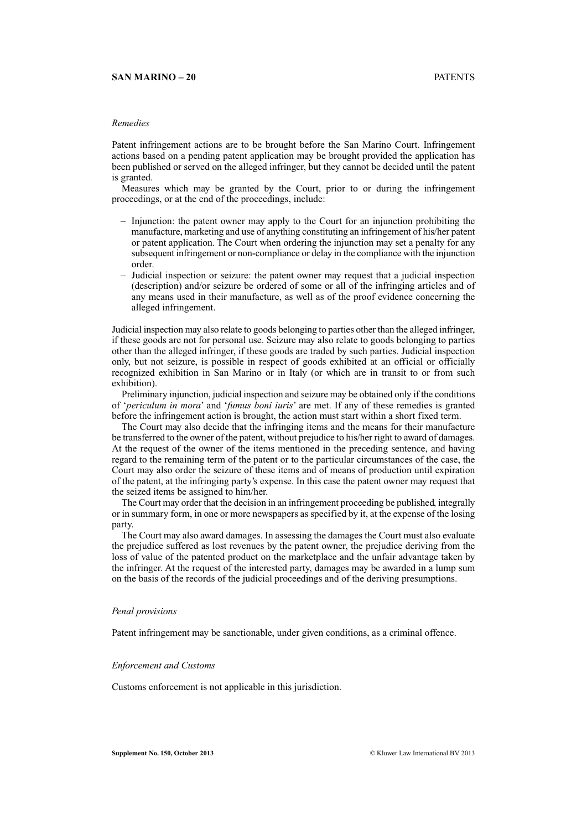### **SAN MARINO – 20** PATENTS

# *Remedies*

Patent infringement actions are to be brought before the San Marino Court. Infringement actions based on a pending patent application may be brought provided the application has been published or served on the alleged infringer, but they cannot be decided until the patent is granted.

Measures which may be granted by the Court, prior to or during the infringement proceedings, or at the end of the proceedings, include:

- Injunction: the patent owner may apply to the Court for an injunction prohibiting the manufacture, marketing and use of anything constituting an infringement of his/her patent or patent application. The Court when ordering the injunction may set a penalty for any subsequent infringement or non-compliance or delay in the compliance with the injunction order.
- Judicial inspection or seizure: the patent owner may request that a judicial inspection (description) and/or seizure be ordered of some or all of the infringing articles and of any means used in their manufacture, as well as of the proof evidence concerning the alleged infringement.

Judicial inspection may also relate to goods belonging to parties other than the alleged infringer, if these goods are not for personal use. Seizure may also relate to goods belonging to parties other than the alleged infringer, if these goods are traded by such parties. Judicial inspection only, but not seizure, is possible in respect of goods exhibited at an official or officially recognized exhibition in San Marino or in Italy (or which are in transit to or from such exhibition).

Preliminary injunction, judicial inspection and seizure may be obtained only if the conditions of '*periculum in mora*' and '*fumus boni iuris*' are met. If any of these remedies is granted before the infringement action is brought, the action must start within a short fixed term.

The Court may also decide that the infringing items and the means for their manufacture be transferred to the owner of the patent, without prejudice to his/her right to award of damages. At the request of the owner of the items mentioned in the preceding sentence, and having regard to the remaining term of the patent or to the particular circumstances of the case, the Court may also order the seizure of these items and of means of production until expiration of the patent, at the infringing party's expense. In this case the patent owner may request that the seized items be assigned to him/her.

The Court may order that the decision in an infringement proceeding be published, integrally or in summary form, in one or more newspapers as specified by it, at the expense of the losing party.

The Court may also award damages. In assessing the damages the Court must also evaluate the prejudice suffered as lost revenues by the patent owner, the prejudice deriving from the loss of value of the patented product on the marketplace and the unfair advantage taken by the infringer. At the request of the interested party, damages may be awarded in a lump sum on the basis of the records of the judicial proceedings and of the deriving presumptions.

#### *Penal provisions*

Patent infringement may be sanctionable, under given conditions, as a criminal offence.

#### *Enforcement and Customs*

Customs enforcement is not applicable in this jurisdiction.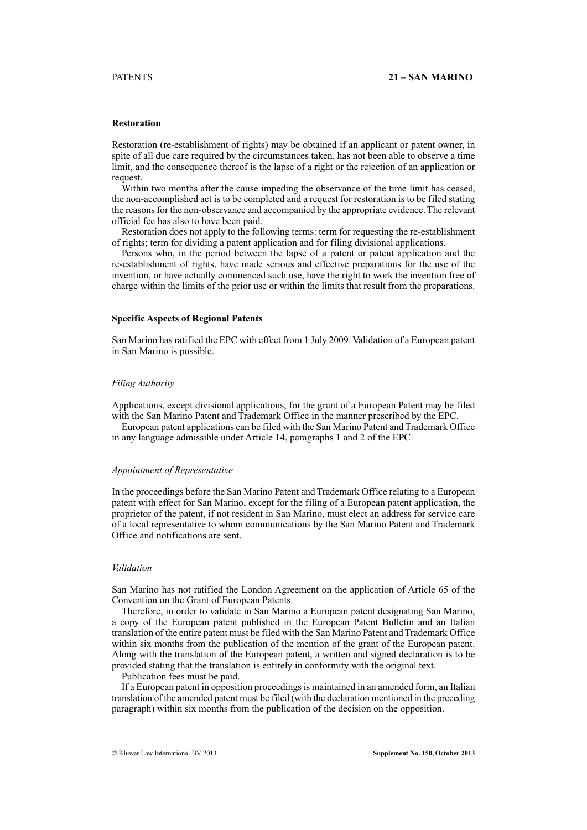# **Restoration**

Restoration (re-establishment of rights) may be obtained if an applicant or patent owner, in spite of all due care required by the circumstances taken, has not been able to observe a time limit, and the consequence thereof is the lapse of a right or the rejection of an application or request.

Within two months after the cause impeding the observance of the time limit has ceased, the non-accomplished act is to be completed and a request for restoration is to be filed stating the reasons for the non-observance and accompanied by the appropriate evidence. The relevant official fee has also to have been paid.

Restoration does not apply to the following terms: term for requesting the re-establishment of rights; term for dividing a patent application and for filing divisional applications.

Persons who, in the period between the lapse of a patent or patent application and the re-establishment of rights, have made serious and effective preparations for the use of the invention, or have actually commenced such use, have the right to work the invention free of charge within the limits of the prior use or within the limits that result from the preparations.

# **Specific Aspects of Regional Patents**

San Marino has ratified the EPC with effect from 1 July 2009. Validation of a European patent in San Marino is possible.

#### *Filing Authority*

Applications, except divisional applications, for the grant of a European Patent may be filed with the San Marino Patent and Trademark Office in the manner prescribed by the EPC.

European patent applications can be filed with the San Marino Patent and Trademark Office in any language admissible under Article 14, paragraphs 1 and 2 of the EPC.

#### *Appointment of Representative*

In the proceedings before the San Marino Patent and Trademark Office relating to a European patent with effect for San Marino, except for the filing of a European patent application, the proprietor of the patent, if not resident in San Marino, must elect an address for service care of a local representative to whom communications by the San Marino Patent and Trademark Office and notifications are sent.

## *Validation*

San Marino has not ratified the London Agreement on the application of Article 65 of the Convention on the Grant of European Patents.

Therefore, in order to validate in San Marino a European patent designating San Marino, a copy of the European patent published in the European Patent Bulletin and an Italian translation of the entire patent must be filed with the San Marino Patent and Trademark Office within six months from the publication of the mention of the grant of the European patent. Along with the translation of the European patent, a written and signed declaration is to be provided stating that the translation is entirely in conformity with the original text.

Publication fees must be paid.

If a European patent in opposition proceedings is maintained in an amended form, an Italian translation of the amended patent must be filed (with the declaration mentioned in the preceding paragraph) within six months from the publication of the decision on the opposition.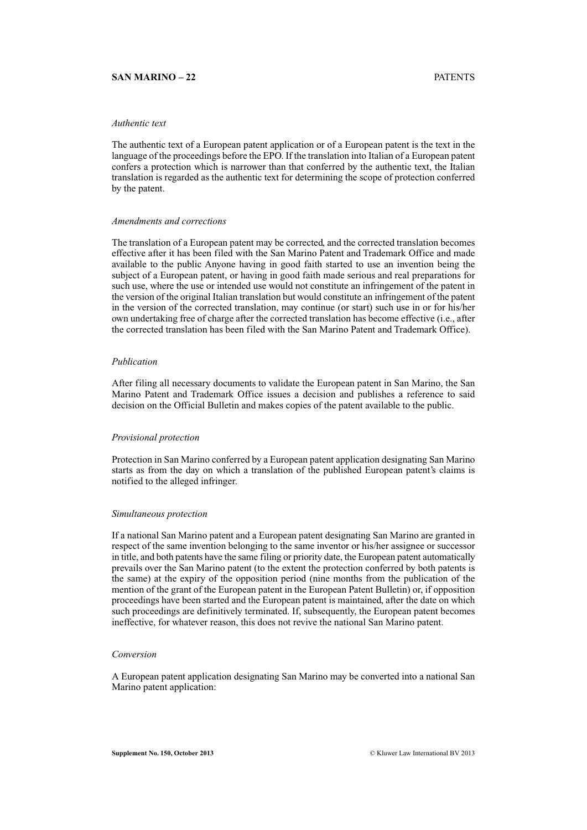# **SAN MARINO – 22** PATENTS

# *Authentic text*

The authentic text of a European patent application or of a European patent is the text in the language of the proceedings before the EPO. If the translation into Italian of a European patent confers a protection which is narrower than that conferred by the authentic text, the Italian translation is regarded as the authentic text for determining the scope of protection conferred by the patent.

#### *Amendments and corrections*

The translation of a European patent may be corrected, and the corrected translation becomes effective after it has been filed with the San Marino Patent and Trademark Office and made available to the public Anyone having in good faith started to use an invention being the subject of a European patent, or having in good faith made serious and real preparations for such use, where the use or intended use would not constitute an infringement of the patent in the version of the original Italian translation but would constitute an infringement of the patent in the version of the corrected translation, may continue (or start) such use in or for his/her own undertaking free of charge after the corrected translation has become effective (i.e., after the corrected translation has been filed with the San Marino Patent and Trademark Office).

#### *Publication*

After filing all necessary documents to validate the European patent in San Marino, the San Marino Patent and Trademark Office issues a decision and publishes a reference to said decision on the Official Bulletin and makes copies of the patent available to the public.

# *Provisional protection*

Protection in San Marino conferred by a European patent application designating San Marino starts as from the day on which a translation of the published European patent's claims is notified to the alleged infringer.

#### *Simultaneous protection*

If a national San Marino patent and a European patent designating San Marino are granted in respect of the same invention belonging to the same inventor or his/her assignee or successor in title, and both patents have the same filing or priority date, the European patent automatically prevails over the San Marino patent (to the extent the protection conferred by both patents is the same) at the expiry of the opposition period (nine months from the publication of the mention of the grant of the European patent in the European Patent Bulletin) or, if opposition proceedings have been started and the European patent is maintained, after the date on which such proceedings are definitively terminated. If, subsequently, the European patent becomes ineffective, for whatever reason, this does not revive the national San Marino patent.

# *Conversion*

A European patent application designating San Marino may be converted into a national San Marino patent application: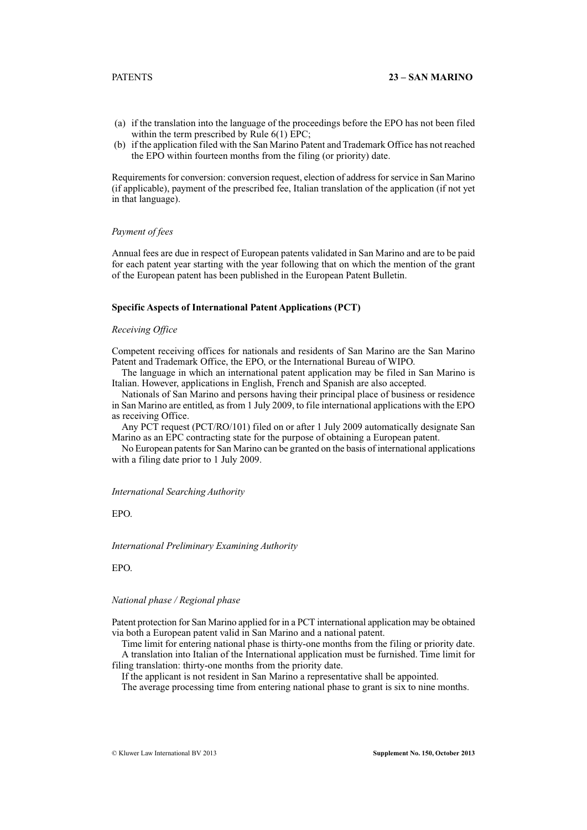- (a) if the translation into the language of the proceedings before the EPO has not been filed within the term prescribed by Rule 6(1) EPC;
- (b) if the application filed with the San Marino Patent and Trademark Office has not reached the EPO within fourteen months from the filing (or priority) date.

Requirements for conversion: conversion request, election of address for service in San Marino (if applicable), payment of the prescribed fee, Italian translation of the application (if not yet in that language).

# *Payment of fees*

Annual fees are due in respect of European patents validated in San Marino and are to be paid for each patent year starting with the year following that on which the mention of the grant of the European patent has been published in the European Patent Bulletin.

# **Specific Aspects of International Patent Applications (PCT)**

# *Receiving Office*

Competent receiving offices for nationals and residents of San Marino are the San Marino Patent and Trademark Office, the EPO, or the International Bureau of WIPO.

The language in which an international patent application may be filed in San Marino is Italian. However, applications in English, French and Spanish are also accepted.

Nationals of San Marino and persons having their principal place of business or residence in San Marino are entitled, as from 1 July 2009, to file international applications with the EPO as receiving Office.

Any PCT request (PCT/RO/101) filed on or after 1 July 2009 automatically designate San Marino as an EPC contracting state for the purpose of obtaining a European patent.

No European patents for San Marino can be granted on the basis of international applications with a filing date prior to 1 July 2009.

#### *International Searching Authority*

EPO.

### *International Preliminary Examining Authority*

EPO.

# *National phase / Regional phase*

Patent protection for San Marino applied for in a PCT international application may be obtained via both a European patent valid in San Marino and a national patent.

Time limit for entering national phase is thirty-one months from the filing or priority date. A translation into Italian of the International application must be furnished. Time limit for filing translation: thirty-one months from the priority date.

If the applicant is not resident in San Marino a representative shall be appointed.

The average processing time from entering national phase to grant is six to nine months.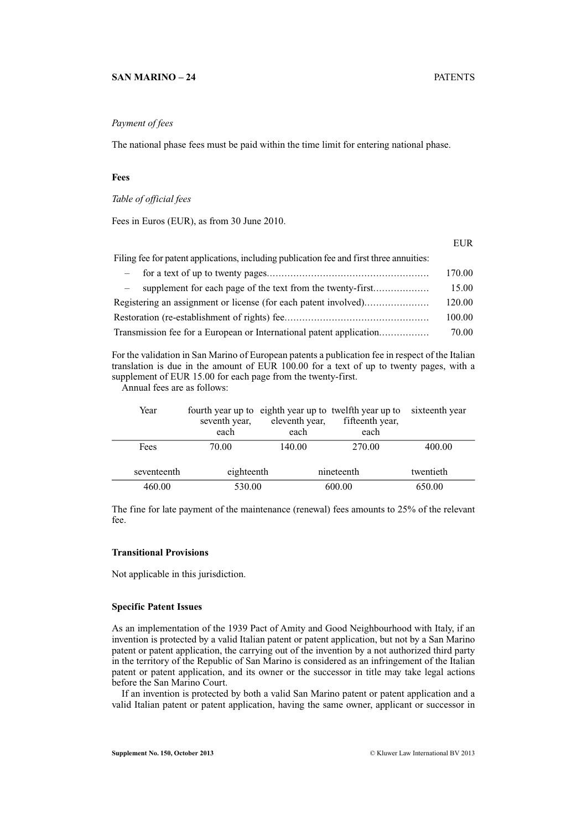# **SAN MARINO – 24** PATENTS

# *Payment of fees*

The national phase fees must be paid within the time limit for entering national phase.

# **Fees**

*Table of official fees*

Fees in Euros (EUR), as from 30 June 2010.

|                                                                                          | EUR    |
|------------------------------------------------------------------------------------------|--------|
| Filing fee for patent applications, including publication fee and first three annuities: |        |
|                                                                                          | 170.00 |
| supplement for each page of the text from the twenty-first                               | 15.00  |
|                                                                                          | 120.00 |
|                                                                                          | 100.00 |
| Transmission fee for a European or International patent application                      | 70.00  |

For the validation in San Marino of European patents a publication fee in respect of the Italian translation is due in the amount of EUR 100.00 for a text of up to twenty pages, with a supplement of EUR 15.00 for each page from the twenty-first.

Annual fees are as follows:

| Year        | seventh year,<br>each | eleventh year,<br>each | fourth year up to eighth year up to twelfth year up to<br>fifteenth year,<br>each | sixteenth year |
|-------------|-----------------------|------------------------|-----------------------------------------------------------------------------------|----------------|
| Fees        | 70.00                 | 140.00                 | 270.00                                                                            | 400.00         |
| seventeenth | eighteenth            |                        | nineteenth                                                                        | twentieth      |
| 460.00      | 530.00                |                        | 600.00                                                                            | 650.00         |

The fine for late payment of the maintenance (renewal) fees amounts to 25% of the relevant fee.

#### **Transitional Provisions**

Not applicable in this jurisdiction.

#### **Specific Patent Issues**

As an implementation of the 1939 Pact of Amity and Good Neighbourhood with Italy, if an invention is protected by a valid Italian patent or patent application, but not by a San Marino patent or patent application, the carrying out of the invention by a not authorized third party in the territory of the Republic of San Marino is considered as an infringement of the Italian patent or patent application, and its owner or the successor in title may take legal actions before the San Marino Court.

If an invention is protected by both a valid San Marino patent or patent application and a valid Italian patent or patent application, having the same owner, applicant or successor in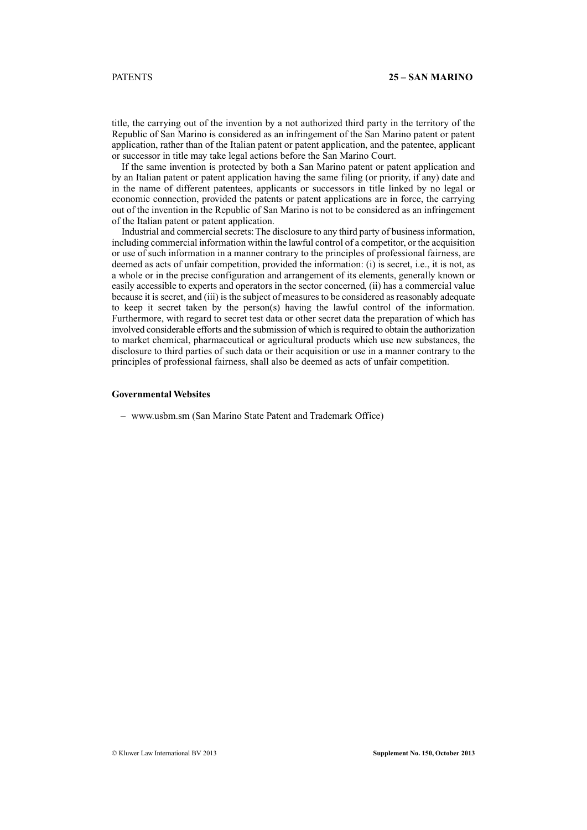title, the carrying out of the invention by a not authorized third party in the territory of the Republic of San Marino is considered as an infringement of the San Marino patent or patent application, rather than of the Italian patent or patent application, and the patentee, applicant or successor in title may take legal actions before the San Marino Court.

If the same invention is protected by both a San Marino patent or patent application and by an Italian patent or patent application having the same filing (or priority, if any) date and in the name of different patentees, applicants or successors in title linked by no legal or economic connection, provided the patents or patent applications are in force, the carrying out of the invention in the Republic of San Marino is not to be considered as an infringement of the Italian patent or patent application.

Industrial and commercial secrets: The disclosure to any third party of business information, including commercial information within the lawful control of a competitor, or the acquisition or use of such information in a manner contrary to the principles of professional fairness, are deemed as acts of unfair competition, provided the information: (i) is secret, i.e., it is not, as a whole or in the precise configuration and arrangement of its elements, generally known or easily accessible to experts and operators in the sector concerned, (ii) has a commercial value because it is secret, and (iii) is the subject of measures to be considered as reasonably adequate to keep it secret taken by the person(s) having the lawful control of the information. Furthermore, with regard to secret test data or other secret data the preparation of which has involved considerable efforts and the submission of which is required to obtain the authorization to market chemical, pharmaceutical or agricultural products which use new substances, the disclosure to third parties of such data or their acquisition or use in a manner contrary to the principles of professional fairness, shall also be deemed as acts of unfair competition.

# **Governmental Websites**

– www.usbm.sm (San Marino State Patent and Trademark Office)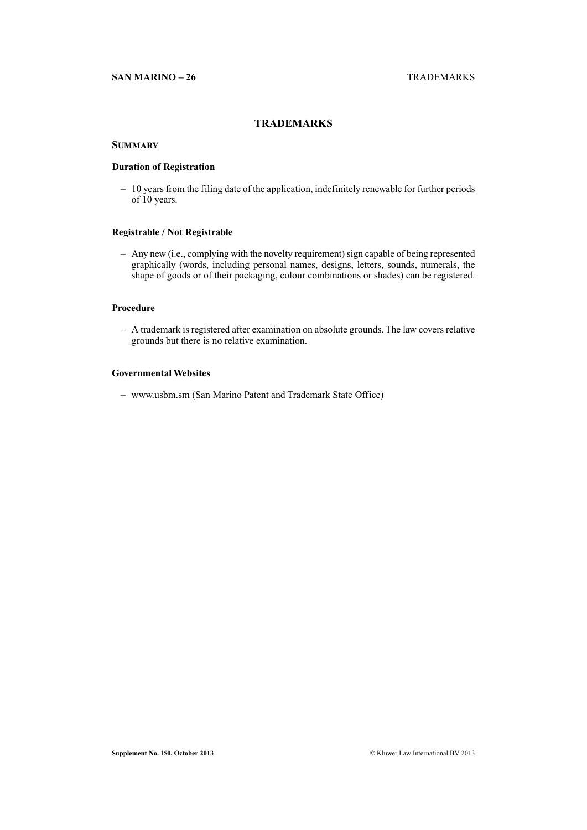# **TRADEMARKS**

# **SUMMARY**

# **Duration of Registration**

– 10 years from the filing date of the application, indefinitely renewable for further periods of 10 years.

# **Registrable / Not Registrable**

– Any new (i.e., complying with the novelty requirement) sign capable of being represented graphically (words, including personal names, designs, letters, sounds, numerals, the shape of goods or of their packaging, colour combinations or shades) can be registered.

# **Procedure**

– A trademark is registered after examination on absolute grounds. The law covers relative grounds but there is no relative examination.

# **Governmental Websites**

– www.usbm.sm (San Marino Patent and Trademark State Office)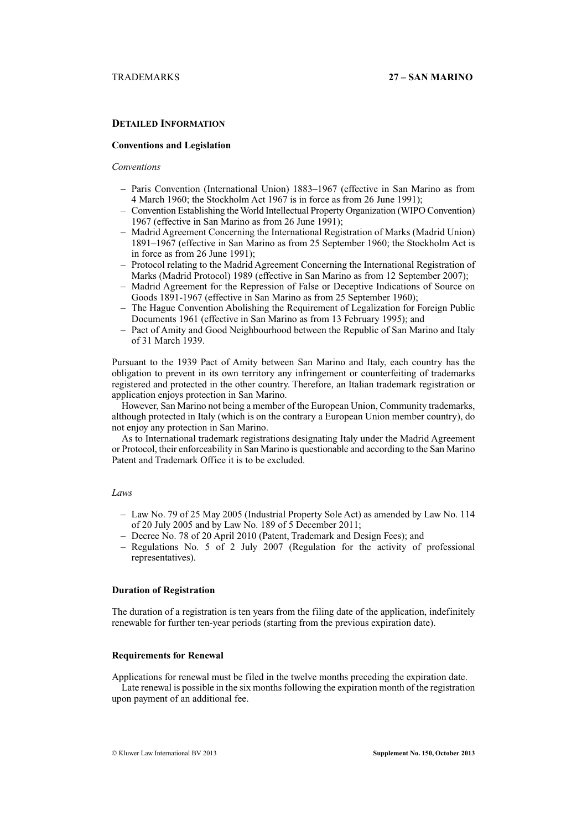# **DETAILED INFORMATION**

# **Conventions and Legislation**

# *Conventions*

- Paris Convention (International Union) 1883–1967 (effective in San Marino as from 4 March 1960; the Stockholm Act 1967 is in force as from 26 June 1991);
- Convention Establishing the World Intellectual Property Organization (WIPO Convention) 1967 (effective in San Marino as from 26 June 1991);
- Madrid Agreement Concerning the International Registration of Marks (Madrid Union) 1891–1967 (effective in San Marino as from 25 September 1960; the Stockholm Act is in force as from 26 June 1991);
- Protocol relating to the Madrid Agreement Concerning the International Registration of Marks (Madrid Protocol) 1989 (effective in San Marino as from 12 September 2007);
- Madrid Agreement for the Repression of False or Deceptive Indications of Source on Goods 1891-1967 (effective in San Marino as from 25 September 1960);
- The Hague Convention Abolishing the Requirement of Legalization for Foreign Public Documents 1961 (effective in San Marino as from 13 February 1995); and
- Pact of Amity and Good Neighbourhood between the Republic of San Marino and Italy of 31 March 1939.

Pursuant to the 1939 Pact of Amity between San Marino and Italy, each country has the obligation to prevent in its own territory any infringement or counterfeiting of trademarks registered and protected in the other country. Therefore, an Italian trademark registration or application enjoys protection in San Marino.

However, San Marino not being a member of the European Union, Community trademarks, although protected in Italy (which is on the contrary a European Union member country), do not enjoy any protection in San Marino.

As to International trademark registrations designating Italy under the Madrid Agreement or Protocol, their enforceability in San Marino is questionable and according to the San Marino Patent and Trademark Office it is to be excluded.

# *Laws*

- Law No. 79 of 25 May 2005 (Industrial Property Sole Act) as amended by Law No. 114 of 20 July 2005 and by Law No. 189 of 5 December 2011;
- Decree No. 78 of 20 April 2010 (Patent, Trademark and Design Fees); and
- Regulations No. 5 of 2 July 2007 (Regulation for the activity of professional representatives).

# **Duration of Registration**

The duration of a registration is ten years from the filing date of the application, indefinitely renewable for further ten-year periods (starting from the previous expiration date).

### **Requirements for Renewal**

Applications for renewal must be filed in the twelve months preceding the expiration date. Late renewal is possible in the six months following the expiration month of the registration upon payment of an additional fee.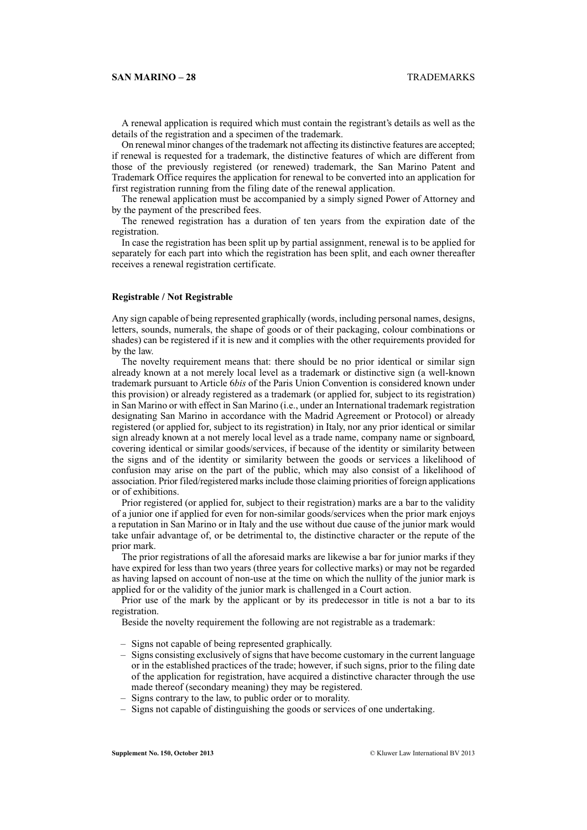A renewal application is required which must contain the registrant's details as well as the details of the registration and a specimen of the trademark.

On renewal minor changes of the trademark not affecting its distinctive features are accepted; if renewal is requested for a trademark, the distinctive features of which are different from those of the previously registered (or renewed) trademark, the San Marino Patent and Trademark Office requires the application for renewal to be converted into an application for first registration running from the filing date of the renewal application.

The renewal application must be accompanied by a simply signed Power of Attorney and by the payment of the prescribed fees.

The renewed registration has a duration of ten years from the expiration date of the registration.

In case the registration has been split up by partial assignment, renewal is to be applied for separately for each part into which the registration has been split, and each owner thereafter receives a renewal registration certificate.

# **Registrable / Not Registrable**

Any sign capable of being represented graphically (words, including personal names, designs, letters, sounds, numerals, the shape of goods or of their packaging, colour combinations or shades) can be registered if it is new and it complies with the other requirements provided for by the law.

The novelty requirement means that: there should be no prior identical or similar sign already known at a not merely local level as a trademark or distinctive sign (a well-known trademark pursuant to Article 6*bis* of the Paris Union Convention is considered known under this provision) or already registered as a trademark (or applied for, subject to its registration) in San Marino or with effect in San Marino (i.e., under an International trademark registration designating San Marino in accordance with the Madrid Agreement or Protocol) or already registered (or applied for, subject to its registration) in Italy, nor any prior identical or similar sign already known at a not merely local level as a trade name, company name or signboard, covering identical or similar goods/services, if because of the identity or similarity between the signs and of the identity or similarity between the goods or services a likelihood of confusion may arise on the part of the public, which may also consist of a likelihood of association. Prior filed/registered marks include those claiming priorities of foreign applications or of exhibitions.

Prior registered (or applied for, subject to their registration) marks are a bar to the validity of a junior one if applied for even for non-similar goods/services when the prior mark enjoys a reputation in San Marino or in Italy and the use without due cause of the junior mark would take unfair advantage of, or be detrimental to, the distinctive character or the repute of the prior mark.

The prior registrations of all the aforesaid marks are likewise a bar for junior marks if they have expired for less than two years (three years for collective marks) or may not be regarded as having lapsed on account of non-use at the time on which the nullity of the junior mark is applied for or the validity of the junior mark is challenged in a Court action.

Prior use of the mark by the applicant or by its predecessor in title is not a bar to its registration.

Beside the novelty requirement the following are not registrable as a trademark:

- Signs not capable of being represented graphically.
- Signs consisting exclusively of signs that have become customary in the current language or in the established practices of the trade; however, if such signs, prior to the filing date of the application for registration, have acquired a distinctive character through the use made thereof (secondary meaning) they may be registered.
- Signs contrary to the law, to public order or to morality.
- Signs not capable of distinguishing the goods or services of one undertaking.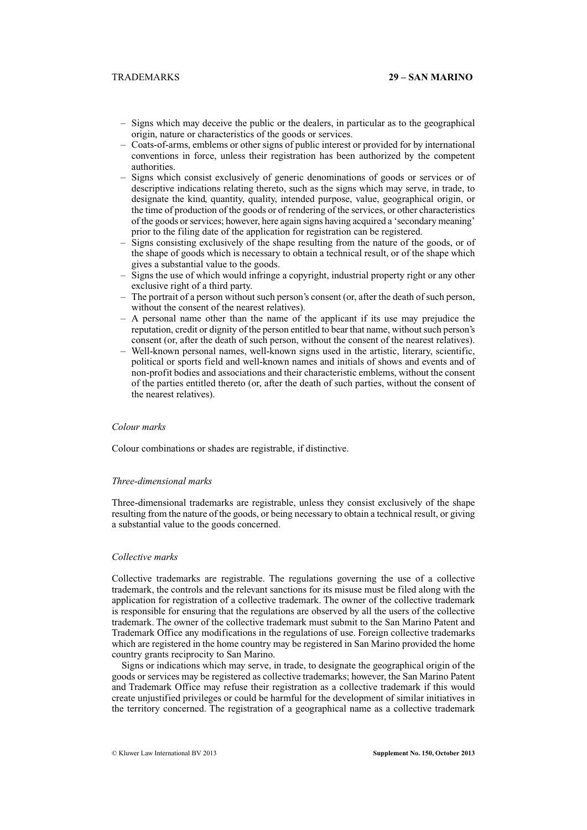- Signs which may deceive the public or the dealers, in particular as to the geographical origin, nature or characteristics of the goods or services.
- Coats-of-arms, emblems or other signs of public interest or provided for by international conventions in force, unless their registration has been authorized by the competent authorities.
- Signs which consist exclusively of generic denominations of goods or services or of descriptive indications relating thereto, such as the signs which may serve, in trade, to designate the kind, quantity, quality, intended purpose, value, geographical origin, or the time of production of the goods or of rendering of the services, or other characteristics of the goods or services; however, here again signs having acquired a 'secondary meaning' prior to the filing date of the application for registration can be registered.
- Signs consisting exclusively of the shape resulting from the nature of the goods, or of the shape of goods which is necessary to obtain a technical result, or of the shape which gives a substantial value to the goods.
- Signs the use of which would infringe a copyright, industrial property right or any other exclusive right of a third party.
- The portrait of a person without such person's consent (or, after the death of such person, without the consent of the nearest relatives).
- A personal name other than the name of the applicant if its use may prejudice the reputation, credit or dignity of the person entitled to bear that name, without such person's consent (or, after the death of such person, without the consent of the nearest relatives).
- Well-known personal names, well-known signs used in the artistic, literary, scientific, political or sports field and well-known names and initials of shows and events and of non-profit bodies and associations and their characteristic emblems, without the consent of the parties entitled thereto (or, after the death of such parties, without the consent of the nearest relatives).

# *Colour marks*

Colour combinations or shades are registrable, if distinctive.

#### *Three-dimensional marks*

Three-dimensional trademarks are registrable, unless they consist exclusively of the shape resulting from the nature of the goods, or being necessary to obtain a technical result, or giving a substantial value to the goods concerned.

# *Collective marks*

Collective trademarks are registrable. The regulations governing the use of a collective trademark, the controls and the relevant sanctions for its misuse must be filed along with the application for registration of a collective trademark. The owner of the collective trademark is responsible for ensuring that the regulations are observed by all the users of the collective trademark. The owner of the collective trademark must submit to the San Marino Patent and Trademark Office any modifications in the regulations of use. Foreign collective trademarks which are registered in the home country may be registered in San Marino provided the home country grants reciprocity to San Marino.

Signs or indications which may serve, in trade, to designate the geographical origin of the goods or services may be registered as collective trademarks; however, the San Marino Patent and Trademark Office may refuse their registration as a collective trademark if this would create unjustified privileges or could be harmful for the development of similar initiatives in the territory concerned. The registration of a geographical name as a collective trademark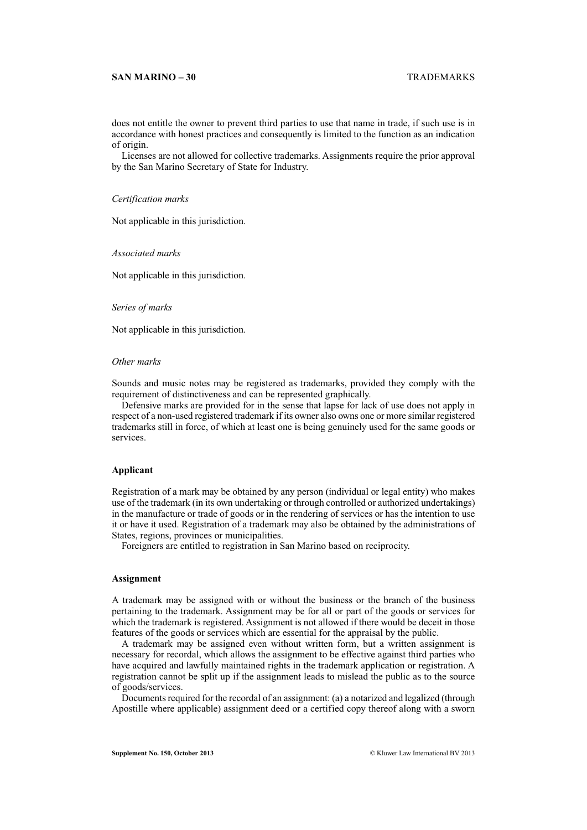### **SAN MARINO – 30** TRADEMARKS

does not entitle the owner to prevent third parties to use that name in trade, if such use is in accordance with honest practices and consequently is limited to the function as an indication of origin.

Licenses are not allowed for collective trademarks. Assignments require the prior approval by the San Marino Secretary of State for Industry.

#### *Certification marks*

Not applicable in this jurisdiction.

#### *Associated marks*

Not applicable in this jurisdiction.

#### *Series of marks*

Not applicable in this jurisdiction.

#### *Other marks*

Sounds and music notes may be registered as trademarks, provided they comply with the requirement of distinctiveness and can be represented graphically.

Defensive marks are provided for in the sense that lapse for lack of use does not apply in respect of a non-used registered trademark if its owner also owns one or more similar registered trademarks still in force, of which at least one is being genuinely used for the same goods or services.

# **Applicant**

Registration of a mark may be obtained by any person (individual or legal entity) who makes use of the trademark (in its own undertaking or through controlled or authorized undertakings) in the manufacture or trade of goods or in the rendering of services or has the intention to use it or have it used. Registration of a trademark may also be obtained by the administrations of States, regions, provinces or municipalities.

Foreigners are entitled to registration in San Marino based on reciprocity.

# **Assignment**

A trademark may be assigned with or without the business or the branch of the business pertaining to the trademark. Assignment may be for all or part of the goods or services for which the trademark is registered. Assignment is not allowed if there would be deceit in those features of the goods or services which are essential for the appraisal by the public.

A trademark may be assigned even without written form, but a written assignment is necessary for recordal, which allows the assignment to be effective against third parties who have acquired and lawfully maintained rights in the trademark application or registration. A registration cannot be split up if the assignment leads to mislead the public as to the source of goods/services.

Documents required for the recordal of an assignment: (a) a notarized and legalized (through Apostille where applicable) assignment deed or a certified copy thereof along with a sworn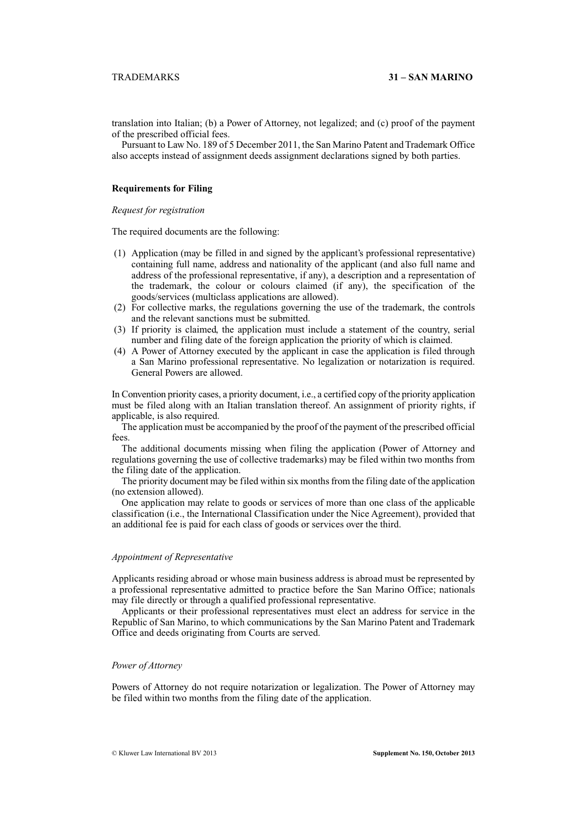translation into Italian; (b) a Power of Attorney, not legalized; and (c) proof of the payment of the prescribed official fees.

Pursuant to Law No. 189 of 5 December 2011, the San Marino Patent and Trademark Office also accepts instead of assignment deeds assignment declarations signed by both parties.

# **Requirements for Filing**

# *Request for registration*

The required documents are the following:

- (1) Application (may be filled in and signed by the applicant's professional representative) containing full name, address and nationality of the applicant (and also full name and address of the professional representative, if any), a description and a representation of the trademark, the colour or colours claimed (if any), the specification of the goods/services (multiclass applications are allowed).
- (2) For collective marks, the regulations governing the use of the trademark, the controls and the relevant sanctions must be submitted.
- (3) If priority is claimed, the application must include a statement of the country, serial number and filing date of the foreign application the priority of which is claimed.
- (4) A Power of Attorney executed by the applicant in case the application is filed through a San Marino professional representative. No legalization or notarization is required. General Powers are allowed.

In Convention priority cases, a priority document, i.e., a certified copy of the priority application must be filed along with an Italian translation thereof. An assignment of priority rights, if applicable, is also required.

The application must be accompanied by the proof of the payment of the prescribed official fees.

The additional documents missing when filing the application (Power of Attorney and regulations governing the use of collective trademarks) may be filed within two months from the filing date of the application.

The priority document may be filed within six months from the filing date of the application (no extension allowed).

One application may relate to goods or services of more than one class of the applicable classification (i.e., the International Classification under the Nice Agreement), provided that an additional fee is paid for each class of goods or services over the third.

# *Appointment of Representative*

Applicants residing abroad or whose main business address is abroad must be represented by a professional representative admitted to practice before the San Marino Office; nationals may file directly or through a qualified professional representative.

Applicants or their professional representatives must elect an address for service in the Republic of San Marino, to which communications by the San Marino Patent and Trademark Office and deeds originating from Courts are served.

# *Power of Attorney*

Powers of Attorney do not require notarization or legalization. The Power of Attorney may be filed within two months from the filing date of the application.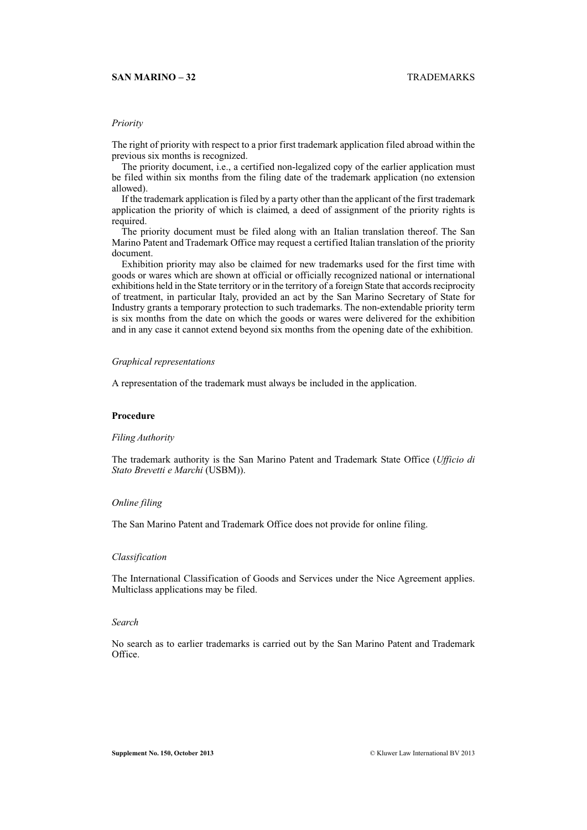# **SAN MARINO – 32** TRADEMARKS

# *Priority*

The right of priority with respect to a prior first trademark application filed abroad within the previous six months is recognized.

The priority document, i.e., a certified non-legalized copy of the earlier application must be filed within six months from the filing date of the trademark application (no extension allowed).

If the trademark application is filed by a party other than the applicant of the first trademark application the priority of which is claimed, a deed of assignment of the priority rights is required.

The priority document must be filed along with an Italian translation thereof. The San Marino Patent and Trademark Office may request a certified Italian translation of the priority document.

Exhibition priority may also be claimed for new trademarks used for the first time with goods or wares which are shown at official or officially recognized national or international exhibitions held in the State territory or in the territory of a foreign State that accords reciprocity of treatment, in particular Italy, provided an act by the San Marino Secretary of State for Industry grants a temporary protection to such trademarks. The non-extendable priority term is six months from the date on which the goods or wares were delivered for the exhibition and in any case it cannot extend beyond six months from the opening date of the exhibition.

### *Graphical representations*

A representation of the trademark must always be included in the application.

# **Procedure**

### *Filing Authority*

The trademark authority is the San Marino Patent and Trademark State Office (*Ufficio di Stato Brevetti e Marchi* (USBM)).

#### *Online filing*

The San Marino Patent and Trademark Office does not provide for online filing.

# *Classification*

The International Classification of Goods and Services under the Nice Agreement applies. Multiclass applications may be filed.

#### *Search*

No search as to earlier trademarks is carried out by the San Marino Patent and Trademark Office.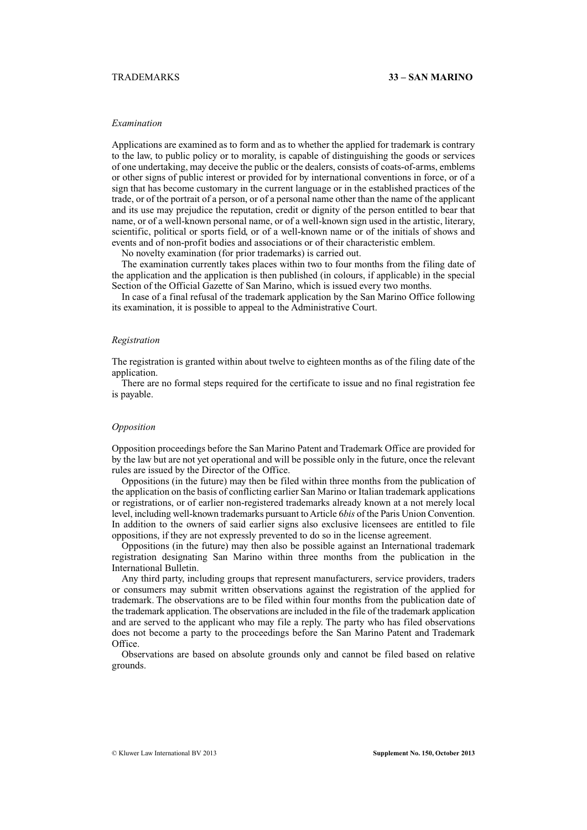### *Examination*

Applications are examined as to form and as to whether the applied for trademark is contrary to the law, to public policy or to morality, is capable of distinguishing the goods or services of one undertaking, may deceive the public or the dealers, consists of coats-of-arms, emblems or other signs of public interest or provided for by international conventions in force, or of a sign that has become customary in the current language or in the established practices of the trade, or of the portrait of a person, or of a personal name other than the name of the applicant and its use may prejudice the reputation, credit or dignity of the person entitled to bear that name, or of a well-known personal name, or of a well-known sign used in the artistic, literary, scientific, political or sports field, or of a well-known name or of the initials of shows and events and of non-profit bodies and associations or of their characteristic emblem.

No novelty examination (for prior trademarks) is carried out.

The examination currently takes places within two to four months from the filing date of the application and the application is then published (in colours, if applicable) in the special Section of the Official Gazette of San Marino, which is issued every two months.

In case of a final refusal of the trademark application by the San Marino Office following its examination, it is possible to appeal to the Administrative Court.

#### *Registration*

The registration is granted within about twelve to eighteen months as of the filing date of the application.

There are no formal steps required for the certificate to issue and no final registration fee is payable.

# *Opposition*

Opposition proceedings before the San Marino Patent and Trademark Office are provided for by the law but are not yet operational and will be possible only in the future, once the relevant rules are issued by the Director of the Office.

Oppositions (in the future) may then be filed within three months from the publication of the application on the basis of conflicting earlier San Marino or Italian trademark applications or registrations, or of earlier non-registered trademarks already known at a not merely local level, including well-known trademarks pursuant to Article 6*bis* of the Paris Union Convention. In addition to the owners of said earlier signs also exclusive licensees are entitled to file oppositions, if they are not expressly prevented to do so in the license agreement.

Oppositions (in the future) may then also be possible against an International trademark registration designating San Marino within three months from the publication in the International Bulletin.

Any third party, including groups that represent manufacturers, service providers, traders or consumers may submit written observations against the registration of the applied for trademark. The observations are to be filed within four months from the publication date of the trademark application. The observations are included in the file of the trademark application and are served to the applicant who may file a reply. The party who has filed observations does not become a party to the proceedings before the San Marino Patent and Trademark Office.

Observations are based on absolute grounds only and cannot be filed based on relative grounds.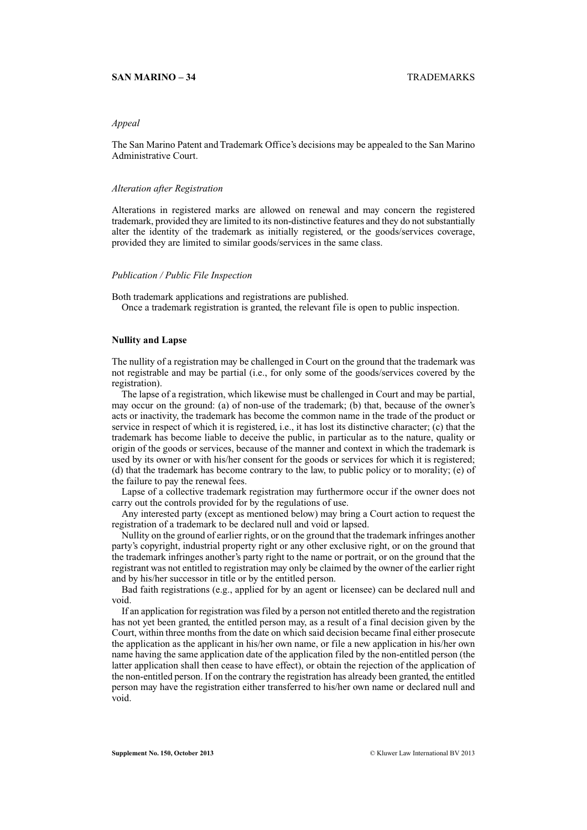# **SAN MARINO – 34** TRADEMARKS

# *Appeal*

The San Marino Patent and Trademark Office's decisions may be appealed to the San Marino Administrative Court.

#### *Alteration after Registration*

Alterations in registered marks are allowed on renewal and may concern the registered trademark, provided they are limited to its non-distinctive features and they do not substantially alter the identity of the trademark as initially registered, or the goods/services coverage, provided they are limited to similar goods/services in the same class.

#### *Publication / Public File Inspection*

Both trademark applications and registrations are published. Once a trademark registration is granted, the relevant file is open to public inspection.

# **Nullity and Lapse**

The nullity of a registration may be challenged in Court on the ground that the trademark was not registrable and may be partial (i.e., for only some of the goods/services covered by the registration).

The lapse of a registration, which likewise must be challenged in Court and may be partial, may occur on the ground: (a) of non-use of the trademark; (b) that, because of the owner's acts or inactivity, the trademark has become the common name in the trade of the product or service in respect of which it is registered, i.e., it has lost its distinctive character; (c) that the trademark has become liable to deceive the public, in particular as to the nature, quality or origin of the goods or services, because of the manner and context in which the trademark is used by its owner or with his/her consent for the goods or services for which it is registered; (d) that the trademark has become contrary to the law, to public policy or to morality; (e) of the failure to pay the renewal fees.

Lapse of a collective trademark registration may furthermore occur if the owner does not carry out the controls provided for by the regulations of use.

Any interested party (except as mentioned below) may bring a Court action to request the registration of a trademark to be declared null and void or lapsed.

Nullity on the ground of earlier rights, or on the ground that the trademark infringes another party's copyright, industrial property right or any other exclusive right, or on the ground that the trademark infringes another's party right to the name or portrait, or on the ground that the registrant was not entitled to registration may only be claimed by the owner of the earlier right and by his/her successor in title or by the entitled person.

Bad faith registrations (e.g., applied for by an agent or licensee) can be declared null and void.

If an application for registration was filed by a person not entitled thereto and the registration has not yet been granted, the entitled person may, as a result of a final decision given by the Court, within three months from the date on which said decision became final either prosecute the application as the applicant in his/her own name, or file a new application in his/her own name having the same application date of the application filed by the non-entitled person (the latter application shall then cease to have effect), or obtain the rejection of the application of the non-entitled person. If on the contrary the registration has already been granted, the entitled person may have the registration either transferred to his/her own name or declared null and void.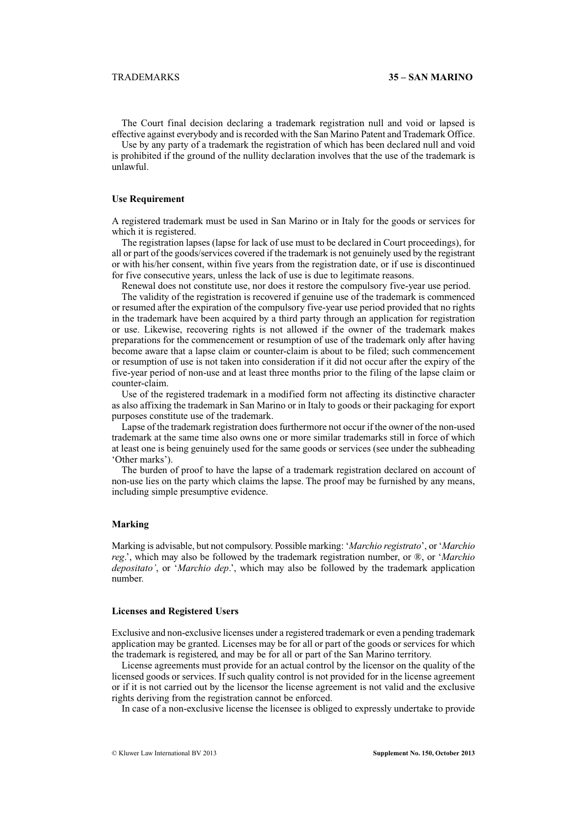The Court final decision declaring a trademark registration null and void or lapsed is effective against everybody and is recorded with the San Marino Patent and Trademark Office.

Use by any party of a trademark the registration of which has been declared null and void is prohibited if the ground of the nullity declaration involves that the use of the trademark is unlawful.

# **Use Requirement**

A registered trademark must be used in San Marino or in Italy for the goods or services for which it is registered.

The registration lapses (lapse for lack of use must to be declared in Court proceedings), for all or part of the goods/services covered if the trademark is not genuinely used by the registrant or with his/her consent, within five years from the registration date, or if use is discontinued for five consecutive years, unless the lack of use is due to legitimate reasons.

Renewal does not constitute use, nor does it restore the compulsory five-year use period. The validity of the registration is recovered if genuine use of the trademark is commenced or resumed after the expiration of the compulsory five-year use period provided that no rights in the trademark have been acquired by a third party through an application for registration or use. Likewise, recovering rights is not allowed if the owner of the trademark makes preparations for the commencement or resumption of use of the trademark only after having

become aware that a lapse claim or counter-claim is about to be filed; such commencement or resumption of use is not taken into consideration if it did not occur after the expiry of the five-year period of non-use and at least three months prior to the filing of the lapse claim or counter-claim.

Use of the registered trademark in a modified form not affecting its distinctive character as also affixing the trademark in San Marino or in Italy to goods or their packaging for export purposes constitute use of the trademark.

Lapse of the trademark registration does furthermore not occur if the owner of the non-used trademark at the same time also owns one or more similar trademarks still in force of which at least one is being genuinely used for the same goods or services (see under the subheading 'Other marks').

The burden of proof to have the lapse of a trademark registration declared on account of non-use lies on the party which claims the lapse. The proof may be furnished by any means, including simple presumptive evidence.

### **Marking**

Marking is advisable, but not compulsory. Possible marking: '*Marchio registrato*', or '*Marchio reg*.', which may also be followed by the trademark registration number, or ®, or '*Marchio depositato'*, or '*Marchio dep*.', which may also be followed by the trademark application number.

#### **Licenses and Registered Users**

Exclusive and non-exclusive licenses under a registered trademark or even a pending trademark application may be granted. Licenses may be for all or part of the goods or services for which the trademark is registered, and may be for all or part of the San Marino territory.

License agreements must provide for an actual control by the licensor on the quality of the licensed goods or services. If such quality control is not provided for in the license agreement or if it is not carried out by the licensor the license agreement is not valid and the exclusive rights deriving from the registration cannot be enforced.

In case of a non-exclusive license the licensee is obliged to expressly undertake to provide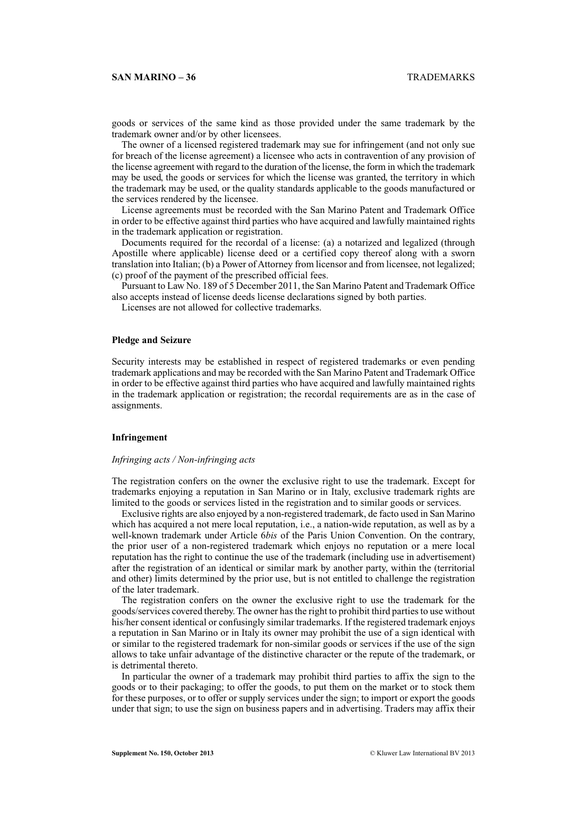# **SAN MARINO – 36** TRADEMARKS

goods or services of the same kind as those provided under the same trademark by the trademark owner and/or by other licensees.

The owner of a licensed registered trademark may sue for infringement (and not only sue for breach of the license agreement) a licensee who acts in contravention of any provision of the license agreement with regard to the duration of the license, the form in which the trademark may be used, the goods or services for which the license was granted, the territory in which the trademark may be used, or the quality standards applicable to the goods manufactured or the services rendered by the licensee.

License agreements must be recorded with the San Marino Patent and Trademark Office in order to be effective against third parties who have acquired and lawfully maintained rights in the trademark application or registration.

Documents required for the recordal of a license: (a) a notarized and legalized (through Apostille where applicable) license deed or a certified copy thereof along with a sworn translation into Italian; (b) a Power of Attorney from licensor and from licensee, not legalized; (c) proof of the payment of the prescribed official fees.

Pursuant to Law No. 189 of 5 December 2011, the San Marino Patent and Trademark Office also accepts instead of license deeds license declarations signed by both parties.

Licenses are not allowed for collective trademarks.

# **Pledge and Seizure**

Security interests may be established in respect of registered trademarks or even pending trademark applications and may be recorded with the San Marino Patent and Trademark Office in order to be effective against third parties who have acquired and lawfully maintained rights in the trademark application or registration; the recordal requirements are as in the case of assignments.

# **Infringement**

# *Infringing acts / Non-infringing acts*

The registration confers on the owner the exclusive right to use the trademark. Except for trademarks enjoying a reputation in San Marino or in Italy, exclusive trademark rights are limited to the goods or services listed in the registration and to similar goods or services.

Exclusive rights are also enjoyed by a non-registered trademark, de facto used in San Marino which has acquired a not mere local reputation, i.e., a nation-wide reputation, as well as by a well-known trademark under Article 6*bis* of the Paris Union Convention. On the contrary, the prior user of a non-registered trademark which enjoys no reputation or a mere local reputation has the right to continue the use of the trademark (including use in advertisement) after the registration of an identical or similar mark by another party, within the (territorial and other) limits determined by the prior use, but is not entitled to challenge the registration of the later trademark.

The registration confers on the owner the exclusive right to use the trademark for the goods/services covered thereby. The owner has the right to prohibit third parties to use without his/her consent identical or confusingly similar trademarks. If the registered trademark enjoys a reputation in San Marino or in Italy its owner may prohibit the use of a sign identical with or similar to the registered trademark for non-similar goods or services if the use of the sign allows to take unfair advantage of the distinctive character or the repute of the trademark, or is detrimental thereto.

In particular the owner of a trademark may prohibit third parties to affix the sign to the goods or to their packaging; to offer the goods, to put them on the market or to stock them for these purposes, or to offer or supply services under the sign; to import or export the goods under that sign; to use the sign on business papers and in advertising. Traders may affix their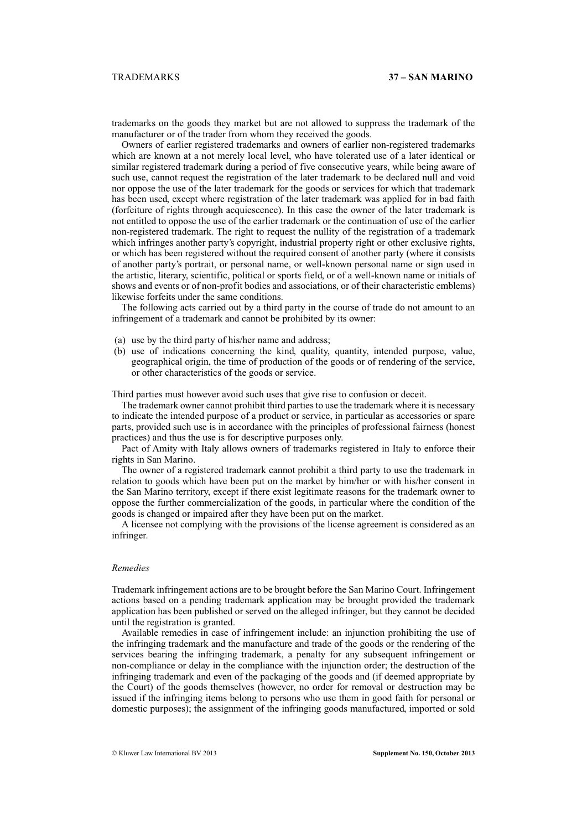trademarks on the goods they market but are not allowed to suppress the trademark of the manufacturer or of the trader from whom they received the goods.

Owners of earlier registered trademarks and owners of earlier non-registered trademarks which are known at a not merely local level, who have tolerated use of a later identical or similar registered trademark during a period of five consecutive years, while being aware of such use, cannot request the registration of the later trademark to be declared null and void nor oppose the use of the later trademark for the goods or services for which that trademark has been used, except where registration of the later trademark was applied for in bad faith (forfeiture of rights through acquiescence). In this case the owner of the later trademark is not entitled to oppose the use of the earlier trademark or the continuation of use of the earlier non-registered trademark. The right to request the nullity of the registration of a trademark which infringes another party's copyright, industrial property right or other exclusive rights, or which has been registered without the required consent of another party (where it consists of another party's portrait, or personal name, or well-known personal name or sign used in the artistic, literary, scientific, political or sports field, or of a well-known name or initials of shows and events or of non-profit bodies and associations, or of their characteristic emblems) likewise forfeits under the same conditions.

The following acts carried out by a third party in the course of trade do not amount to an infringement of a trademark and cannot be prohibited by its owner:

- (a) use by the third party of his/her name and address;
- (b) use of indications concerning the kind, quality, quantity, intended purpose, value, geographical origin, the time of production of the goods or of rendering of the service, or other characteristics of the goods or service.

Third parties must however avoid such uses that give rise to confusion or deceit.

The trademark owner cannot prohibit third parties to use the trademark where it is necessary to indicate the intended purpose of a product or service, in particular as accessories or spare parts, provided such use is in accordance with the principles of professional fairness (honest practices) and thus the use is for descriptive purposes only.

Pact of Amity with Italy allows owners of trademarks registered in Italy to enforce their rights in San Marino.

The owner of a registered trademark cannot prohibit a third party to use the trademark in relation to goods which have been put on the market by him/her or with his/her consent in the San Marino territory, except if there exist legitimate reasons for the trademark owner to oppose the further commercialization of the goods, in particular where the condition of the goods is changed or impaired after they have been put on the market.

A licensee not complying with the provisions of the license agreement is considered as an infringer.

# *Remedies*

Trademark infringement actions are to be brought before the San Marino Court. Infringement actions based on a pending trademark application may be brought provided the trademark application has been published or served on the alleged infringer, but they cannot be decided until the registration is granted.

Available remedies in case of infringement include: an injunction prohibiting the use of the infringing trademark and the manufacture and trade of the goods or the rendering of the services bearing the infringing trademark, a penalty for any subsequent infringement or non-compliance or delay in the compliance with the injunction order; the destruction of the infringing trademark and even of the packaging of the goods and (if deemed appropriate by the Court) of the goods themselves (however, no order for removal or destruction may be issued if the infringing items belong to persons who use them in good faith for personal or domestic purposes); the assignment of the infringing goods manufactured, imported or sold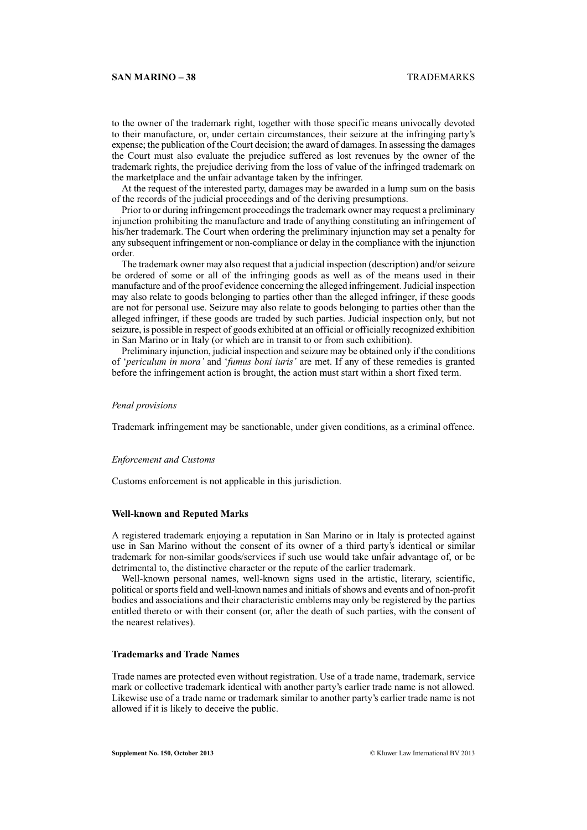to the owner of the trademark right, together with those specific means univocally devoted to their manufacture, or, under certain circumstances, their seizure at the infringing party's expense; the publication of the Court decision; the award of damages. In assessing the damages the Court must also evaluate the prejudice suffered as lost revenues by the owner of the trademark rights, the prejudice deriving from the loss of value of the infringed trademark on the marketplace and the unfair advantage taken by the infringer.

At the request of the interested party, damages may be awarded in a lump sum on the basis of the records of the judicial proceedings and of the deriving presumptions.

Prior to or during infringement proceedings the trademark owner may request a preliminary injunction prohibiting the manufacture and trade of anything constituting an infringement of his/her trademark. The Court when ordering the preliminary injunction may set a penalty for any subsequent infringement or non-compliance or delay in the compliance with the injunction order.

The trademark owner may also request that a judicial inspection (description) and/or seizure be ordered of some or all of the infringing goods as well as of the means used in their manufacture and of the proof evidence concerning the alleged infringement. Judicial inspection may also relate to goods belonging to parties other than the alleged infringer, if these goods are not for personal use. Seizure may also relate to goods belonging to parties other than the alleged infringer, if these goods are traded by such parties. Judicial inspection only, but not seizure, is possible in respect of goods exhibited at an official or officially recognized exhibition in San Marino or in Italy (or which are in transit to or from such exhibition).

Preliminary injunction, judicial inspection and seizure may be obtained only if the conditions of '*periculum in mora'* and '*fumus boni iuris'* are met. If any of these remedies is granted before the infringement action is brought, the action must start within a short fixed term.

#### *Penal provisions*

Trademark infringement may be sanctionable, under given conditions, as a criminal offence.

#### *Enforcement and Customs*

Customs enforcement is not applicable in this jurisdiction.

#### **Well-known and Reputed Marks**

A registered trademark enjoying a reputation in San Marino or in Italy is protected against use in San Marino without the consent of its owner of a third party's identical or similar trademark for non-similar goods/services if such use would take unfair advantage of, or be detrimental to, the distinctive character or the repute of the earlier trademark.

Well-known personal names, well-known signs used in the artistic, literary, scientific, political or sports field and well-known names and initials of shows and events and of non-profit bodies and associations and their characteristic emblems may only be registered by the parties entitled thereto or with their consent (or, after the death of such parties, with the consent of the nearest relatives).

# **Trademarks and Trade Names**

Trade names are protected even without registration. Use of a trade name, trademark, service mark or collective trademark identical with another party's earlier trade name is not allowed. Likewise use of a trade name or trademark similar to another party's earlier trade name is not allowed if it is likely to deceive the public.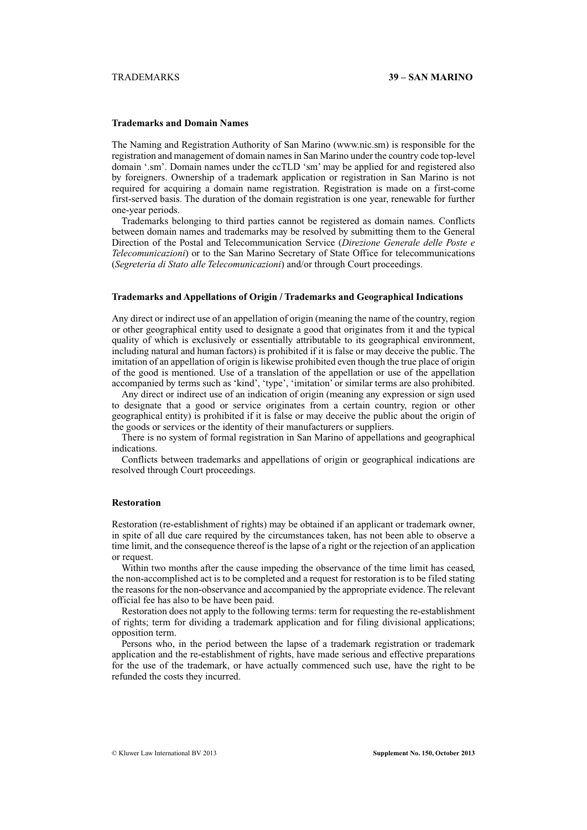# **Trademarks and Domain Names**

The Naming and Registration Authority of San Marino (www.nic.sm) is responsible for the registration and management of domain names in San Marino under the country code top-level domain '.sm'. Domain names under the ccTLD 'sm' may be applied for and registered also by foreigners. Ownership of a trademark application or registration in San Marino is not required for acquiring a domain name registration. Registration is made on a first-come first-served basis. The duration of the domain registration is one year, renewable for further one-year periods.

Trademarks belonging to third parties cannot be registered as domain names. Conflicts between domain names and trademarks may be resolved by submitting them to the General Direction of the Postal and Telecommunication Service (*Direzione Generale delle Poste e Telecomunicazioni*) or to the San Marino Secretary of State Office for telecommunications (*Segreteria di Stato alle Telecomunicazioni*) and/or through Court proceedings.

# **Trademarks and Appellations of Origin / Trademarks and Geographical Indications**

Any direct or indirect use of an appellation of origin (meaning the name of the country, region or other geographical entity used to designate a good that originates from it and the typical quality of which is exclusively or essentially attributable to its geographical environment, including natural and human factors) is prohibited if it is false or may deceive the public. The imitation of an appellation of origin is likewise prohibited even though the true place of origin of the good is mentioned. Use of a translation of the appellation or use of the appellation accompanied by terms such as 'kind', 'type', 'imitation' or similar terms are also prohibited.

Any direct or indirect use of an indication of origin (meaning any expression or sign used to designate that a good or service originates from a certain country, region or other geographical entity) is prohibited if it is false or may deceive the public about the origin of the goods or services or the identity of their manufacturers or suppliers.

There is no system of formal registration in San Marino of appellations and geographical indications.

Conflicts between trademarks and appellations of origin or geographical indications are resolved through Court proceedings.

#### **Restoration**

Restoration (re-establishment of rights) may be obtained if an applicant or trademark owner, in spite of all due care required by the circumstances taken, has not been able to observe a time limit, and the consequence thereof is the lapse of a right or the rejection of an application or request.

Within two months after the cause impeding the observance of the time limit has ceased, the non-accomplished act is to be completed and a request for restoration is to be filed stating the reasons for the non-observance and accompanied by the appropriate evidence. The relevant official fee has also to be have been paid.

Restoration does not apply to the following terms: term for requesting the re-establishment of rights; term for dividing a trademark application and for filing divisional applications; opposition term.

Persons who, in the period between the lapse of a trademark registration or trademark application and the re-establishment of rights, have made serious and effective preparations for the use of the trademark, or have actually commenced such use, have the right to be refunded the costs they incurred.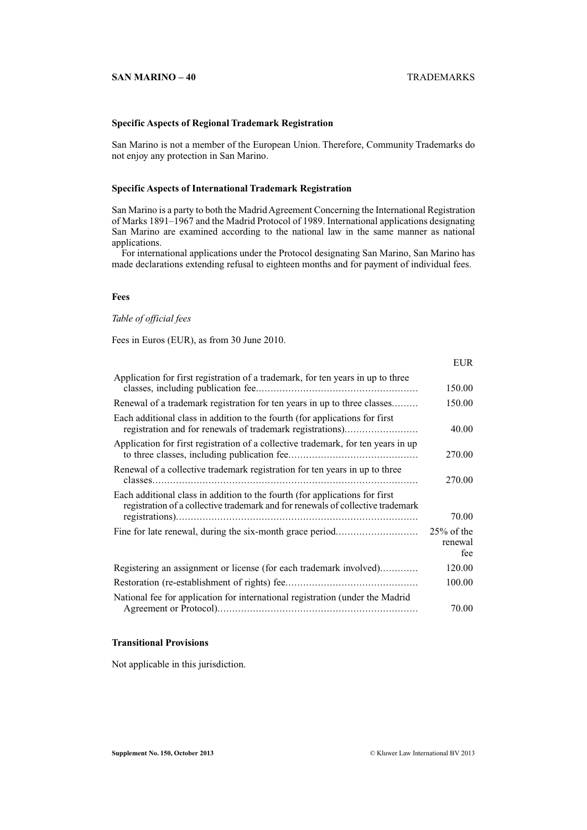# **SAN MARINO – 40** TRADEMARKS

EUR

# **Specific Aspects of Regional Trademark Registration**

San Marino is not a member of the European Union. Therefore, Community Trademarks do not enjoy any protection in San Marino.

# **Specific Aspects of International Trademark Registration**

San Marino is a party to both the Madrid Agreement Concerning the International Registration of Marks 1891–1967 and the Madrid Protocol of 1989. International applications designating San Marino are examined according to the national law in the same manner as national applications.

For international applications under the Protocol designating San Marino, San Marino has made declarations extending refusal to eighteen months and for payment of individual fees.

# **Fees**

# *Table of official fees*

Fees in Euros (EUR), as from 30 June 2010.

|                                                                                                                                                                | LUN.                            |
|----------------------------------------------------------------------------------------------------------------------------------------------------------------|---------------------------------|
| Application for first registration of a trademark, for ten years in up to three                                                                                | 150.00                          |
| Renewal of a trademark registration for ten years in up to three classes                                                                                       | 150.00                          |
| Each additional class in addition to the fourth (for applications for first<br>registration and for renewals of trademark registrations)                       | 40.00                           |
| Application for first registration of a collective trademark, for ten years in up                                                                              | 270.00                          |
| Renewal of a collective trademark registration for ten years in up to three                                                                                    | 270.00                          |
| Each additional class in addition to the fourth (for applications for first<br>registration of a collective trademark and for renewals of collective trademark | 70.00                           |
|                                                                                                                                                                | $25\%$ of the<br>renewal<br>fee |
| Registering an assignment or license (for each trademark involved)                                                                                             | 120.00                          |
|                                                                                                                                                                | 100.00                          |
| National fee for application for international registration (under the Madrid                                                                                  | 70.00                           |

# **Transitional Provisions**

Not applicable in this jurisdiction.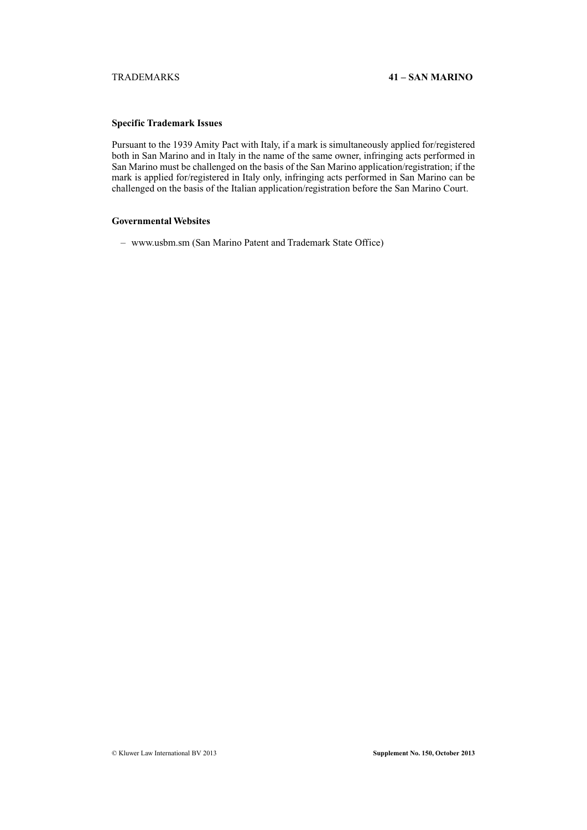# **Specific Trademark Issues**

Pursuant to the 1939 Amity Pact with Italy, if a mark is simultaneously applied for/registered both in San Marino and in Italy in the name of the same owner, infringing acts performed in San Marino must be challenged on the basis of the San Marino application/registration; if the mark is applied for/registered in Italy only, infringing acts performed in San Marino can be challenged on the basis of the Italian application/registration before the San Marino Court.

# **Governmental Websites**

– www.usbm.sm (San Marino Patent and Trademark State Office)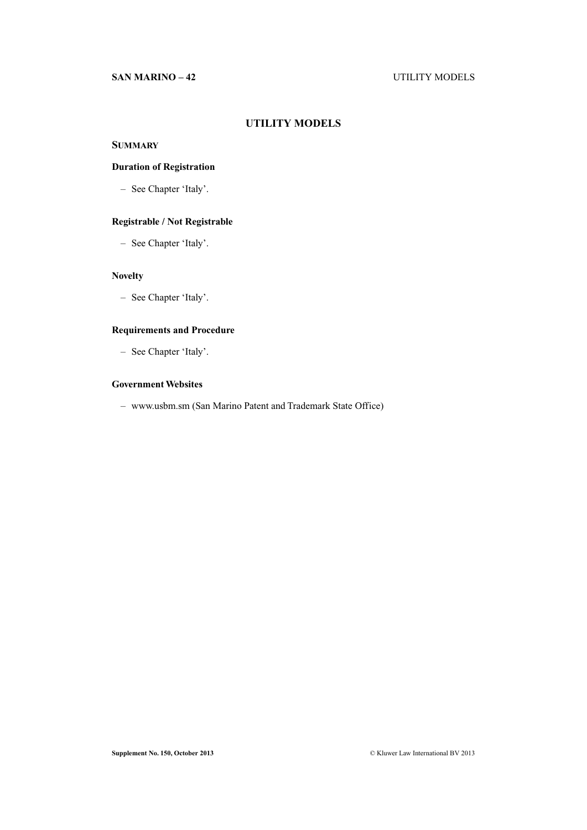# **SAN MARINO – 42** UTILITY MODELS

# **UTILITY MODELS**

# **SUMMARY**

# **Duration of Registration**

– See Chapter 'Italy'.

# **Registrable / Not Registrable**

– See Chapter 'Italy'.

# **Novelty**

– See Chapter 'Italy'.

# **Requirements and Procedure**

– See Chapter 'Italy'.

# **Government Websites**

– www.usbm.sm (San Marino Patent and Trademark State Office)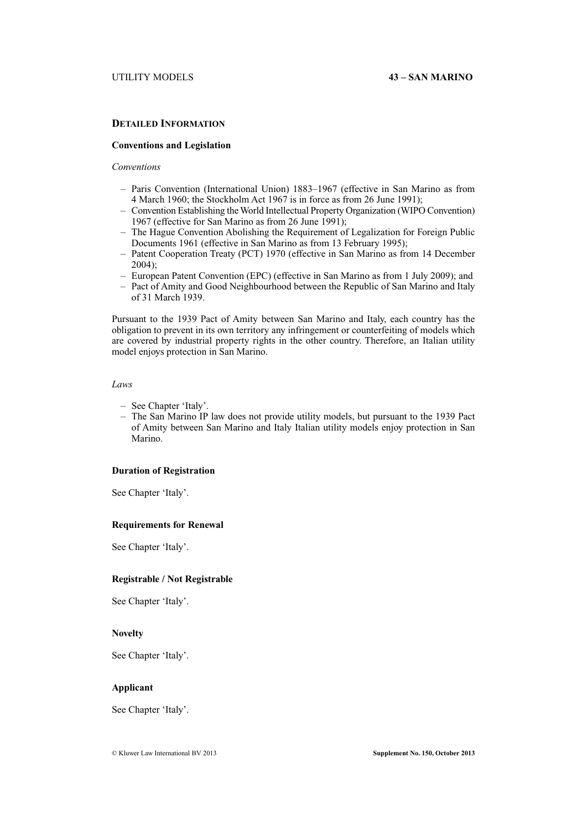# **DETAILED INFORMATION**

# **Conventions and Legislation**

# *Conventions*

- Paris Convention (International Union) 1883–1967 (effective in San Marino as from 4 March 1960; the Stockholm Act 1967 is in force as from 26 June 1991);
- Convention Establishing the World Intellectual Property Organization (WIPO Convention) 1967 (effective for San Marino as from 26 June 1991);
- The Hague Convention Abolishing the Requirement of Legalization for Foreign Public Documents 1961 (effective in San Marino as from 13 February 1995);
- Patent Cooperation Treaty (PCT) 1970 (effective in San Marino as from 14 December 2004);
- European Patent Convention (EPC) (effective in San Marino as from 1 July 2009); and
- Pact of Amity and Good Neighbourhood between the Republic of San Marino and Italy of 31 March 1939.

Pursuant to the 1939 Pact of Amity between San Marino and Italy, each country has the obligation to prevent in its own territory any infringement or counterfeiting of models which are covered by industrial property rights in the other country. Therefore, an Italian utility model enjoys protection in San Marino.

#### *Laws*

- See Chapter 'Italy'.
- The San Marino IP law does not provide utility models, but pursuant to the 1939 Pact of Amity between San Marino and Italy Italian utility models enjoy protection in San Marino.

# **Duration of Registration**

See Chapter 'Italy'.

### **Requirements for Renewal**

See Chapter 'Italy'.

# **Registrable / Not Registrable**

See Chapter 'Italy'.

# **Novelty**

See Chapter 'Italy'.

# **Applicant**

See Chapter 'Italy'.

© Kluwer Law International BV 2013 **Supplement No. 150, October 2013**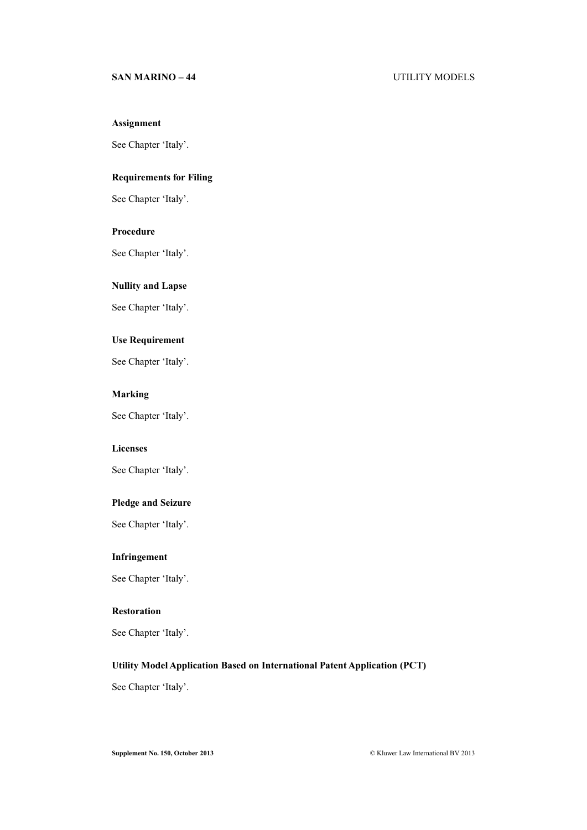# **SAN MARINO – 44** UTILITY MODELS

# **Assignment**

See Chapter 'Italy'.

# **Requirements for Filing**

See Chapter 'Italy'.

# **Procedure**

See Chapter 'Italy'.

# **Nullity and Lapse**

See Chapter 'Italy'.

# **Use Requirement**

See Chapter 'Italy'.

# **Marking**

See Chapter 'Italy'.

# **Licenses**

See Chapter 'Italy'.

# **Pledge and Seizure**

See Chapter 'Italy'.

# **Infringement**

See Chapter 'Italy'.

# **Restoration**

See Chapter 'Italy'.

# **Utility Model Application Based on International Patent Application (PCT)**

See Chapter 'Italy'.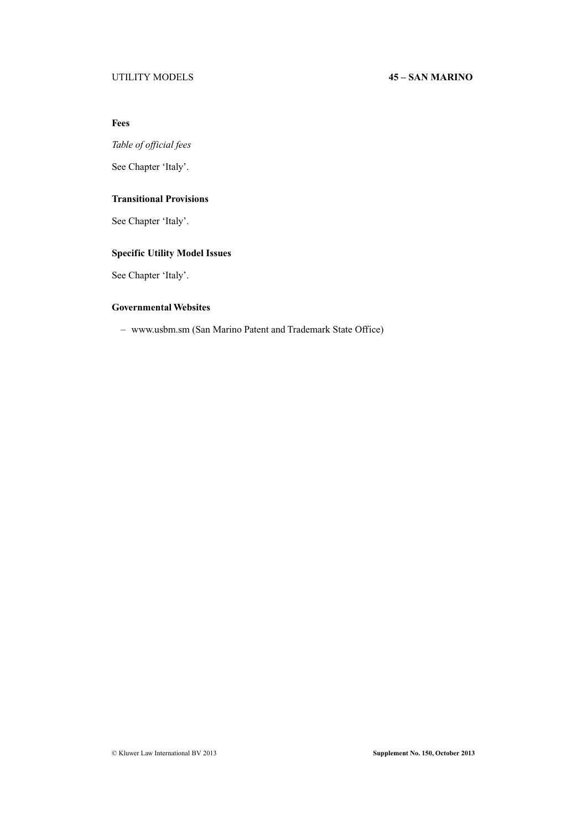# UTILITY MODELS **45 – SAN MARINO**

# **Fees**

*Table of official fees*

See Chapter 'Italy'.

# **Transitional Provisions**

See Chapter 'Italy'.

# **Specific Utility Model Issues**

See Chapter 'Italy'.

# **Governmental Websites**

– www.usbm.sm (San Marino Patent and Trademark State Office)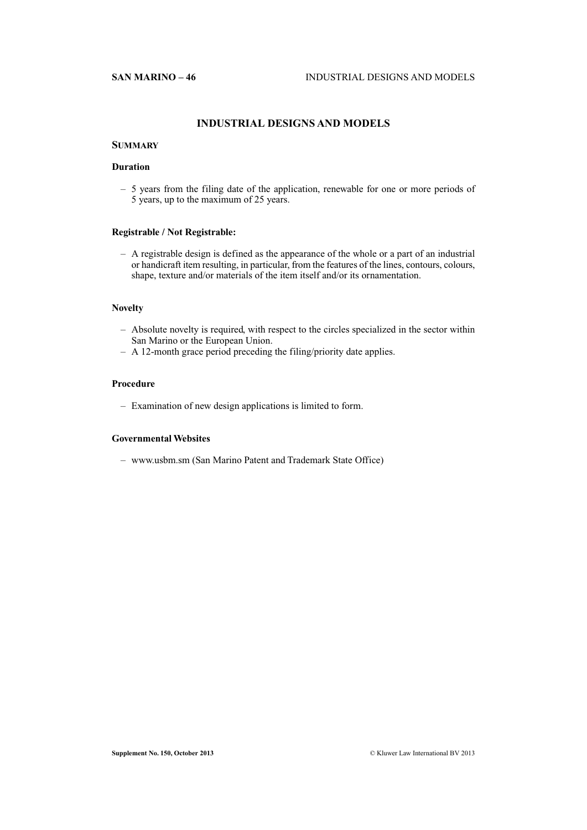# **INDUSTRIAL DESIGNS AND MODELS**

# **SUMMARY**

# **Duration**

– 5 years from the filing date of the application, renewable for one or more periods of 5 years, up to the maximum of 25 years.

# **Registrable / Not Registrable:**

– A registrable design is defined as the appearance of the whole or a part of an industrial or handicraft item resulting, in particular, from the features of the lines, contours, colours, shape, texture and/or materials of the item itself and/or its ornamentation.

# **Novelty**

- Absolute novelty is required, with respect to the circles specialized in the sector within San Marino or the European Union.
- A 12-month grace period preceding the filing/priority date applies.

# **Procedure**

– Examination of new design applications is limited to form.

# **Governmental Websites**

– www.usbm.sm (San Marino Patent and Trademark State Office)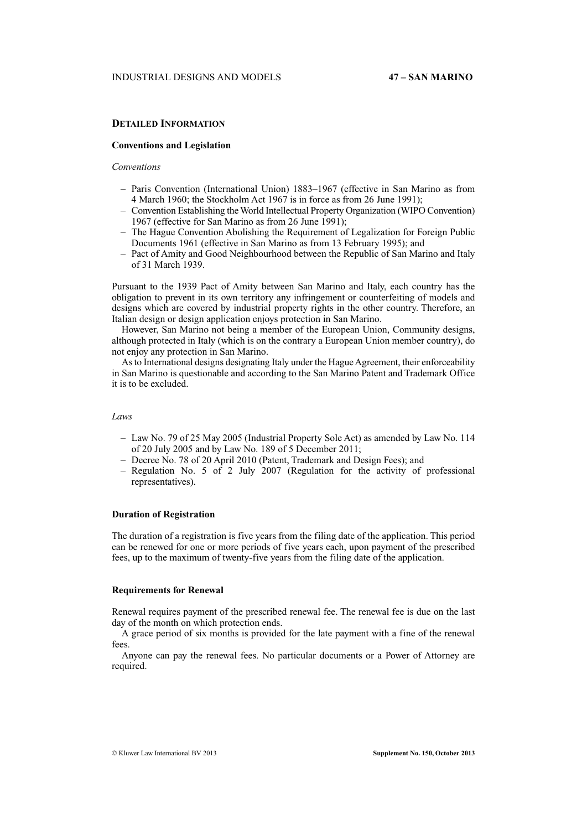# **DETAILED INFORMATION**

### **Conventions and Legislation**

# *Conventions*

- Paris Convention (International Union) 1883–1967 (effective in San Marino as from 4 March 1960; the Stockholm Act 1967 is in force as from 26 June 1991);
- Convention Establishing the World Intellectual Property Organization (WIPO Convention) 1967 (effective for San Marino as from 26 June 1991);
- The Hague Convention Abolishing the Requirement of Legalization for Foreign Public Documents 1961 (effective in San Marino as from 13 February 1995); and
- Pact of Amity and Good Neighbourhood between the Republic of San Marino and Italy of 31 March 1939.

Pursuant to the 1939 Pact of Amity between San Marino and Italy, each country has the obligation to prevent in its own territory any infringement or counterfeiting of models and designs which are covered by industrial property rights in the other country. Therefore, an Italian design or design application enjoys protection in San Marino.

However, San Marino not being a member of the European Union, Community designs, although protected in Italy (which is on the contrary a European Union member country), do not enjoy any protection in San Marino.

As to International designs designating Italy under the Hague Agreement, their enforceability in San Marino is questionable and according to the San Marino Patent and Trademark Office it is to be excluded.

# *Laws*

- Law No. 79 of 25 May 2005 (Industrial Property Sole Act) as amended by Law No. 114 of 20 July 2005 and by Law No. 189 of 5 December 2011;
- Decree No. 78 of 20 April 2010 (Patent, Trademark and Design Fees); and
- Regulation No. 5 of 2 July 2007 (Regulation for the activity of professional representatives).

# **Duration of Registration**

The duration of a registration is five years from the filing date of the application. This period can be renewed for one or more periods of five years each, upon payment of the prescribed fees, up to the maximum of twenty-five years from the filing date of the application.

#### **Requirements for Renewal**

Renewal requires payment of the prescribed renewal fee. The renewal fee is due on the last day of the month on which protection ends.

A grace period of six months is provided for the late payment with a fine of the renewal fees.

Anyone can pay the renewal fees. No particular documents or a Power of Attorney are required.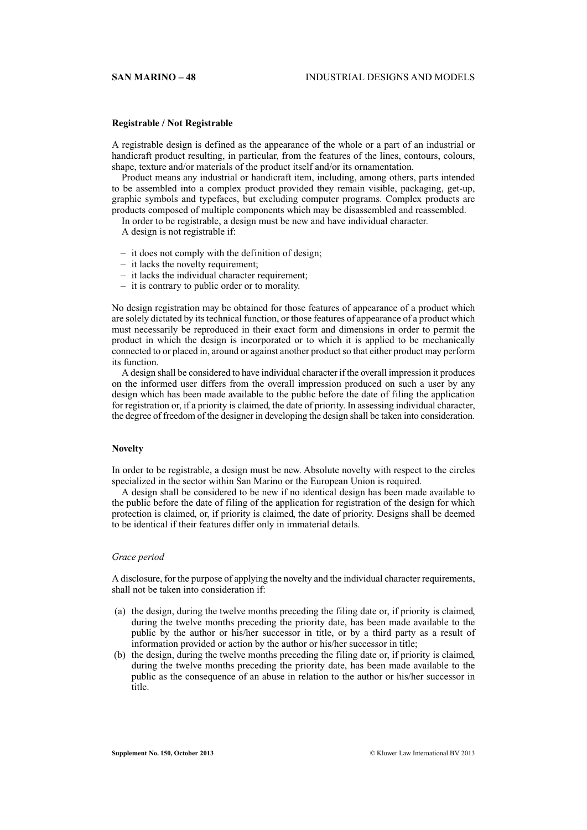#### **Registrable / Not Registrable**

A registrable design is defined as the appearance of the whole or a part of an industrial or handicraft product resulting, in particular, from the features of the lines, contours, colours, shape, texture and/or materials of the product itself and/or its ornamentation.

Product means any industrial or handicraft item, including, among others, parts intended to be assembled into a complex product provided they remain visible, packaging, get-up, graphic symbols and typefaces, but excluding computer programs. Complex products are products composed of multiple components which may be disassembled and reassembled.

In order to be registrable, a design must be new and have individual character.

A design is not registrable if:

- it does not comply with the definition of design;
- it lacks the novelty requirement;
- it lacks the individual character requirement;
- it is contrary to public order or to morality.

No design registration may be obtained for those features of appearance of a product which are solely dictated by its technical function, or those features of appearance of a product which must necessarily be reproduced in their exact form and dimensions in order to permit the product in which the design is incorporated or to which it is applied to be mechanically connected to or placed in, around or against another product so that either product may perform its function.

A design shall be considered to have individual character if the overall impression it produces on the informed user differs from the overall impression produced on such a user by any design which has been made available to the public before the date of filing the application for registration or, if a priority is claimed, the date of priority. In assessing individual character, the degree of freedom of the designer in developing the design shall be taken into consideration.

# **Novelty**

In order to be registrable, a design must be new. Absolute novelty with respect to the circles specialized in the sector within San Marino or the European Union is required.

A design shall be considered to be new if no identical design has been made available to the public before the date of filing of the application for registration of the design for which protection is claimed, or, if priority is claimed, the date of priority. Designs shall be deemed to be identical if their features differ only in immaterial details.

#### *Grace period*

A disclosure, for the purpose of applying the novelty and the individual character requirements, shall not be taken into consideration if:

- (a) the design, during the twelve months preceding the filing date or, if priority is claimed, during the twelve months preceding the priority date, has been made available to the public by the author or his/her successor in title, or by a third party as a result of information provided or action by the author or his/her successor in title;
- (b) the design, during the twelve months preceding the filing date or, if priority is claimed, during the twelve months preceding the priority date, has been made available to the public as the consequence of an abuse in relation to the author or his/her successor in title.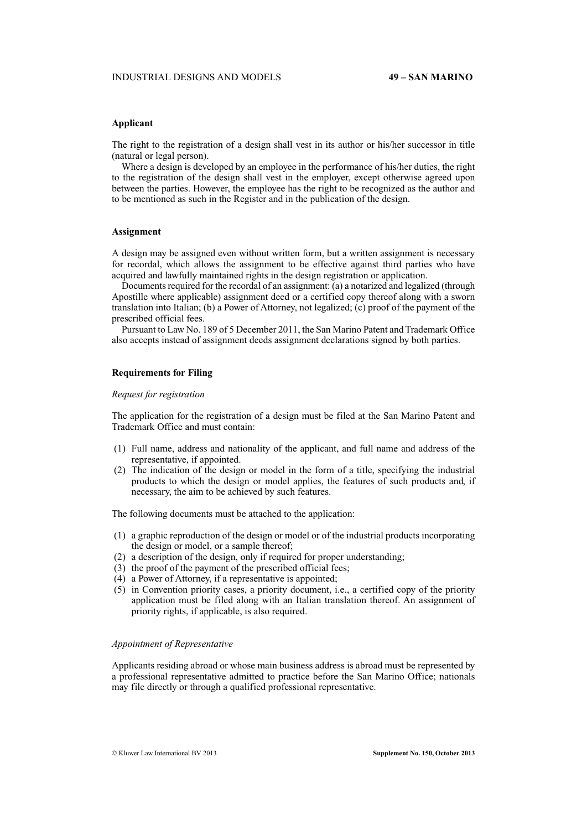# **Applicant**

The right to the registration of a design shall vest in its author or his/her successor in title (natural or legal person).

Where a design is developed by an employee in the performance of his/her duties, the right to the registration of the design shall vest in the employer, except otherwise agreed upon between the parties. However, the employee has the right to be recognized as the author and to be mentioned as such in the Register and in the publication of the design.

### **Assignment**

A design may be assigned even without written form, but a written assignment is necessary for recordal, which allows the assignment to be effective against third parties who have acquired and lawfully maintained rights in the design registration or application.

Documents required for the recordal of an assignment: (a) a notarized and legalized (through Apostille where applicable) assignment deed or a certified copy thereof along with a sworn translation into Italian; (b) a Power of Attorney, not legalized; (c) proof of the payment of the prescribed official fees.

Pursuant to Law No. 189 of 5 December 2011, the San Marino Patent and Trademark Office also accepts instead of assignment deeds assignment declarations signed by both parties.

#### **Requirements for Filing**

#### *Request for registration*

The application for the registration of a design must be filed at the San Marino Patent and Trademark Office and must contain:

- (1) Full name, address and nationality of the applicant, and full name and address of the representative, if appointed.
- (2) The indication of the design or model in the form of a title, specifying the industrial products to which the design or model applies, the features of such products and, if necessary, the aim to be achieved by such features.

The following documents must be attached to the application:

- (1) a graphic reproduction of the design or model or of the industrial products incorporating the design or model, or a sample thereof;
- (2) a description of the design, only if required for proper understanding;
- (3) the proof of the payment of the prescribed official fees;
- (4) a Power of Attorney, if a representative is appointed;
- (5) in Convention priority cases, a priority document, i.e., a certified copy of the priority application must be filed along with an Italian translation thereof. An assignment of priority rights, if applicable, is also required.

#### *Appointment of Representative*

Applicants residing abroad or whose main business address is abroad must be represented by a professional representative admitted to practice before the San Marino Office; nationals may file directly or through a qualified professional representative.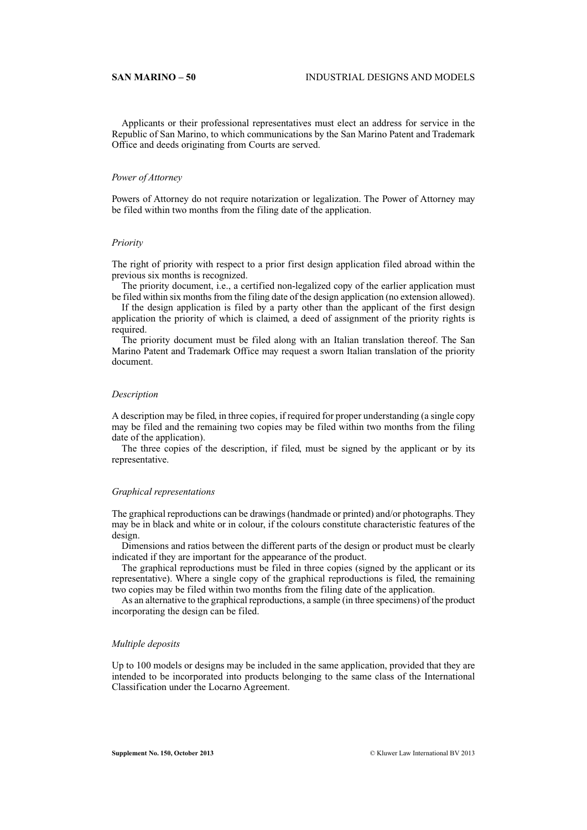Applicants or their professional representatives must elect an address for service in the Republic of San Marino, to which communications by the San Marino Patent and Trademark Office and deeds originating from Courts are served.

#### *Power of Attorney*

Powers of Attorney do not require notarization or legalization. The Power of Attorney may be filed within two months from the filing date of the application.

#### *Priority*

The right of priority with respect to a prior first design application filed abroad within the previous six months is recognized.

The priority document, i.e., a certified non-legalized copy of the earlier application must be filed within six months from the filing date of the design application (no extension allowed).

If the design application is filed by a party other than the applicant of the first design application the priority of which is claimed, a deed of assignment of the priority rights is required.

The priority document must be filed along with an Italian translation thereof. The San Marino Patent and Trademark Office may request a sworn Italian translation of the priority document.

#### *Description*

A description may be filed, in three copies, if required for proper understanding (a single copy may be filed and the remaining two copies may be filed within two months from the filing date of the application).

The three copies of the description, if filed, must be signed by the applicant or by its representative.

#### *Graphical representations*

The graphical reproductions can be drawings (handmade or printed) and/or photographs. They may be in black and white or in colour, if the colours constitute characteristic features of the design.

Dimensions and ratios between the different parts of the design or product must be clearly indicated if they are important for the appearance of the product.

The graphical reproductions must be filed in three copies (signed by the applicant or its representative). Where a single copy of the graphical reproductions is filed, the remaining two copies may be filed within two months from the filing date of the application.

As an alternative to the graphical reproductions, a sample (in three specimens) of the product incorporating the design can be filed.

# *Multiple deposits*

Up to 100 models or designs may be included in the same application, provided that they are intended to be incorporated into products belonging to the same class of the International Classification under the Locarno Agreement.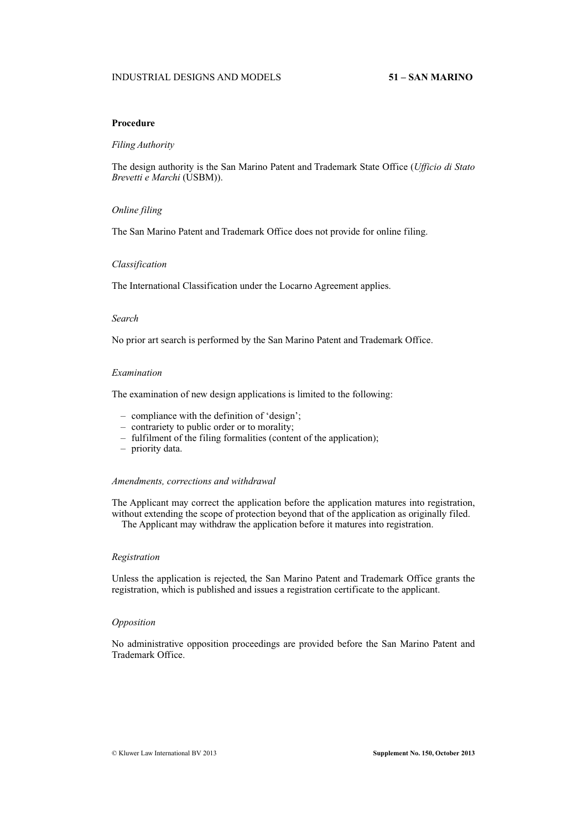# **Procedure**

### *Filing Authority*

The design authority is the San Marino Patent and Trademark State Office (*Ufficio di Stato Brevetti e Marchi* (USBM)).

# *Online filing*

The San Marino Patent and Trademark Office does not provide for online filing.

#### *Classification*

The International Classification under the Locarno Agreement applies.

# *Search*

No prior art search is performed by the San Marino Patent and Trademark Office.

#### *Examination*

The examination of new design applications is limited to the following:

- compliance with the definition of 'design';
- contrariety to public order or to morality;
- fulfilment of the filing formalities (content of the application);
- priority data.

# *Amendments, corrections and withdrawal*

The Applicant may correct the application before the application matures into registration, without extending the scope of protection beyond that of the application as originally filed.

The Applicant may withdraw the application before it matures into registration.

# *Registration*

Unless the application is rejected, the San Marino Patent and Trademark Office grants the registration, which is published and issues a registration certificate to the applicant.

# *Opposition*

No administrative opposition proceedings are provided before the San Marino Patent and Trademark Office.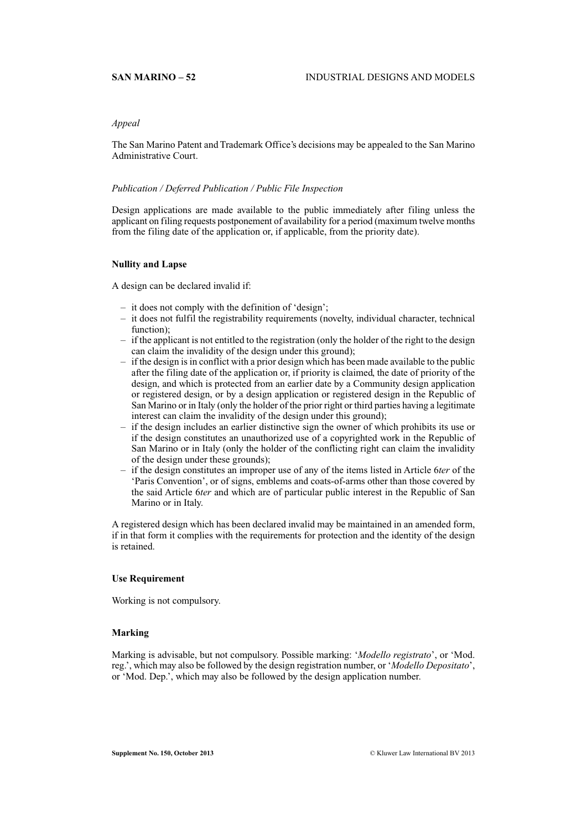# *Appeal*

The San Marino Patent and Trademark Office's decisions may be appealed to the San Marino Administrative Court.

# *Publication / Deferred Publication / Public File Inspection*

Design applications are made available to the public immediately after filing unless the applicant on filing requests postponement of availability for a period (maximum twelve months from the filing date of the application or, if applicable, from the priority date).

# **Nullity and Lapse**

A design can be declared invalid if:

- it does not comply with the definition of 'design';
- it does not fulfil the registrability requirements (novelty, individual character, technical function);
- if the applicant is not entitled to the registration (only the holder of the right to the design can claim the invalidity of the design under this ground);
- if the design is in conflict with a prior design which has been made available to the public after the filing date of the application or, if priority is claimed, the date of priority of the design, and which is protected from an earlier date by a Community design application or registered design, or by a design application or registered design in the Republic of San Marino or in Italy (only the holder of the prior right or third parties having a legitimate interest can claim the invalidity of the design under this ground);
- if the design includes an earlier distinctive sign the owner of which prohibits its use or if the design constitutes an unauthorized use of a copyrighted work in the Republic of San Marino or in Italy (only the holder of the conflicting right can claim the invalidity of the design under these grounds);
- if the design constitutes an improper use of any of the items listed in Article 6*ter* of the 'Paris Convention', or of signs, emblems and coats-of-arms other than those covered by the said Article 6*ter* and which are of particular public interest in the Republic of San Marino or in Italy.

A registered design which has been declared invalid may be maintained in an amended form, if in that form it complies with the requirements for protection and the identity of the design is retained.

#### **Use Requirement**

Working is not compulsory.

# **Marking**

Marking is advisable, but not compulsory. Possible marking: '*Modello registrato*', or 'Mod. reg.', which may also be followed by the design registration number, or '*Modello Depositato*', or 'Mod. Dep.', which may also be followed by the design application number.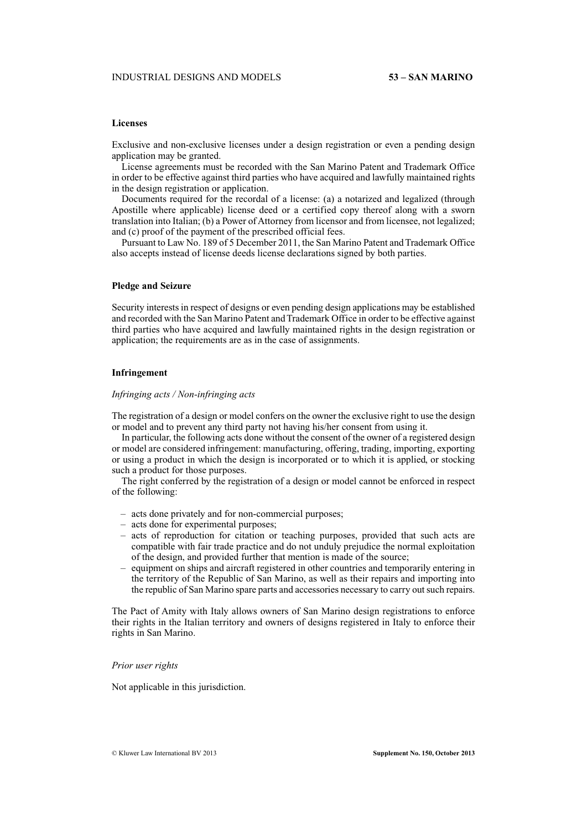# **Licenses**

Exclusive and non-exclusive licenses under a design registration or even a pending design application may be granted.

License agreements must be recorded with the San Marino Patent and Trademark Office in order to be effective against third parties who have acquired and lawfully maintained rights in the design registration or application.

Documents required for the recordal of a license: (a) a notarized and legalized (through Apostille where applicable) license deed or a certified copy thereof along with a sworn translation into Italian; (b) a Power of Attorney from licensor and from licensee, not legalized; and (c) proof of the payment of the prescribed official fees.

Pursuant to Law No. 189 of 5 December 2011, the San Marino Patent and Trademark Office also accepts instead of license deeds license declarations signed by both parties.

# **Pledge and Seizure**

Security interests in respect of designs or even pending design applications may be established and recorded with the San Marino Patent and Trademark Office in order to be effective against third parties who have acquired and lawfully maintained rights in the design registration or application; the requirements are as in the case of assignments.

#### **Infringement**

# *Infringing acts / Non-infringing acts*

The registration of a design or model confers on the owner the exclusive right to use the design or model and to prevent any third party not having his/her consent from using it.

In particular, the following acts done without the consent of the owner of a registered design or model are considered infringement: manufacturing, offering, trading, importing, exporting or using a product in which the design is incorporated or to which it is applied, or stocking such a product for those purposes.

The right conferred by the registration of a design or model cannot be enforced in respect of the following:

- acts done privately and for non-commercial purposes;
- acts done for experimental purposes;
- acts of reproduction for citation or teaching purposes, provided that such acts are compatible with fair trade practice and do not unduly prejudice the normal exploitation of the design, and provided further that mention is made of the source;
- equipment on ships and aircraft registered in other countries and temporarily entering in the territory of the Republic of San Marino, as well as their repairs and importing into the republic of San Marino spare parts and accessories necessary to carry out such repairs.

The Pact of Amity with Italy allows owners of San Marino design registrations to enforce their rights in the Italian territory and owners of designs registered in Italy to enforce their rights in San Marino.

#### *Prior user rights*

Not applicable in this jurisdiction.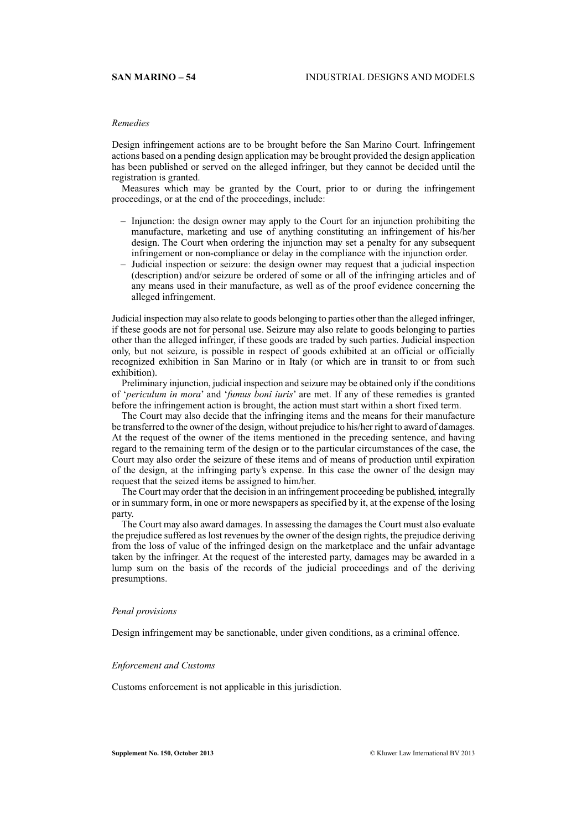# *Remedies*

Design infringement actions are to be brought before the San Marino Court. Infringement actions based on a pending design application may be brought provided the design application has been published or served on the alleged infringer, but they cannot be decided until the registration is granted.

Measures which may be granted by the Court, prior to or during the infringement proceedings, or at the end of the proceedings, include:

- Injunction: the design owner may apply to the Court for an injunction prohibiting the manufacture, marketing and use of anything constituting an infringement of his/her design. The Court when ordering the injunction may set a penalty for any subsequent infringement or non-compliance or delay in the compliance with the injunction order.
- Judicial inspection or seizure: the design owner may request that a judicial inspection (description) and/or seizure be ordered of some or all of the infringing articles and of any means used in their manufacture, as well as of the proof evidence concerning the alleged infringement.

Judicial inspection may also relate to goods belonging to parties other than the alleged infringer, if these goods are not for personal use. Seizure may also relate to goods belonging to parties other than the alleged infringer, if these goods are traded by such parties. Judicial inspection only, but not seizure, is possible in respect of goods exhibited at an official or officially recognized exhibition in San Marino or in Italy (or which are in transit to or from such exhibition).

Preliminary injunction, judicial inspection and seizure may be obtained only if the conditions of '*periculum in mora*' and '*fumus boni iuris*' are met. If any of these remedies is granted before the infringement action is brought, the action must start within a short fixed term.

The Court may also decide that the infringing items and the means for their manufacture be transferred to the owner of the design, without prejudice to his/her right to award of damages. At the request of the owner of the items mentioned in the preceding sentence, and having regard to the remaining term of the design or to the particular circumstances of the case, the Court may also order the seizure of these items and of means of production until expiration of the design, at the infringing party's expense. In this case the owner of the design may request that the seized items be assigned to him/her.

The Court may order that the decision in an infringement proceeding be published, integrally or in summary form, in one or more newspapers as specified by it, at the expense of the losing party.

The Court may also award damages. In assessing the damages the Court must also evaluate the prejudice suffered as lost revenues by the owner of the design rights, the prejudice deriving from the loss of value of the infringed design on the marketplace and the unfair advantage taken by the infringer. At the request of the interested party, damages may be awarded in a lump sum on the basis of the records of the judicial proceedings and of the deriving presumptions.

#### *Penal provisions*

Design infringement may be sanctionable, under given conditions, as a criminal offence.

#### *Enforcement and Customs*

Customs enforcement is not applicable in this jurisdiction.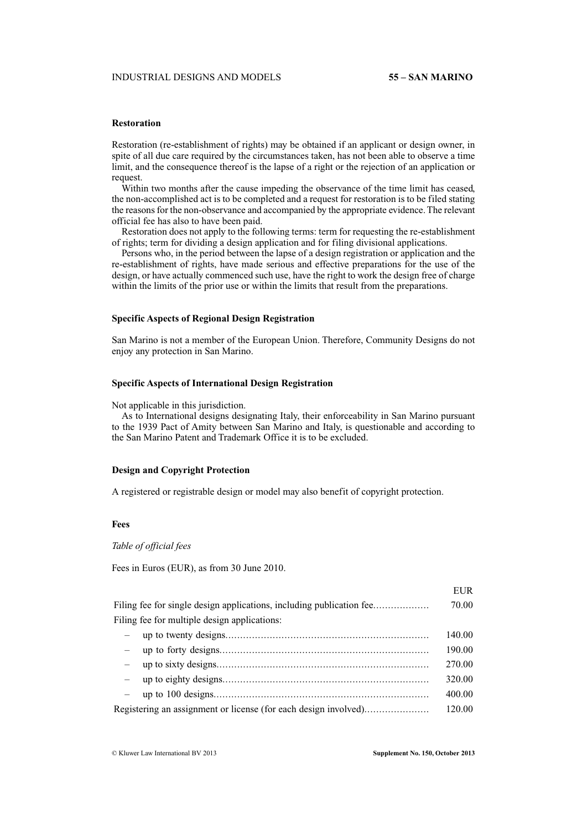# **Restoration**

Restoration (re-establishment of rights) may be obtained if an applicant or design owner, in spite of all due care required by the circumstances taken, has not been able to observe a time limit, and the consequence thereof is the lapse of a right or the rejection of an application or request.

Within two months after the cause impeding the observance of the time limit has ceased, the non-accomplished act is to be completed and a request for restoration is to be filed stating the reasons for the non-observance and accompanied by the appropriate evidence. The relevant official fee has also to have been paid.

Restoration does not apply to the following terms: term for requesting the re-establishment of rights; term for dividing a design application and for filing divisional applications.

Persons who, in the period between the lapse of a design registration or application and the re-establishment of rights, have made serious and effective preparations for the use of the design, or have actually commenced such use, have the right to work the design free of charge within the limits of the prior use or within the limits that result from the preparations.

# **Specific Aspects of Regional Design Registration**

San Marino is not a member of the European Union. Therefore, Community Designs do not enjoy any protection in San Marino.

# **Specific Aspects of International Design Registration**

Not applicable in this jurisdiction.

As to International designs designating Italy, their enforceability in San Marino pursuant to the 1939 Pact of Amity between San Marino and Italy, is questionable and according to the San Marino Patent and Trademark Office it is to be excluded.

# **Design and Copyright Protection**

A registered or registrable design or model may also benefit of copyright protection.

# **Fees**

*Table of official fees*

Fees in Euros (EUR), as from 30 June 2010.

|                                                                      | LUK.   |
|----------------------------------------------------------------------|--------|
| Filing fee for single design applications, including publication fee | 70.00  |
| Filing fee for multiple design applications:                         |        |
|                                                                      | 140.00 |
| $ \,$                                                                | 190.00 |
| $\frac{1}{2}$                                                        | 270.00 |
|                                                                      | 320.00 |
|                                                                      | 400.00 |
| Registering an assignment or license (for each design involved)      | 120.00 |

EUR